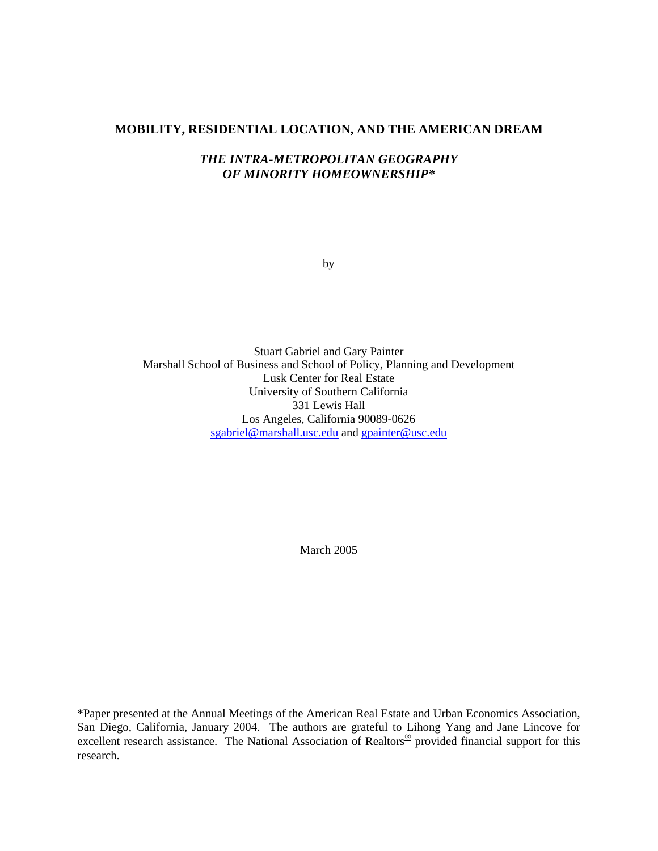#### **MOBILITY, RESIDENTIAL LOCATION, AND THE AMERICAN DREAM**

## *THE INTRA-METROPOLITAN GEOGRAPHY OF MINORITY HOMEOWNERSHIP\**

by

Stuart Gabriel and Gary Painter Marshall School of Business and School of Policy, Planning and Development Lusk Center for Real Estate University of Southern California 331 Lewis Hall Los Angeles, California 90089-0626 sgabriel@marshall.usc.edu and gpainter@usc.edu

March 2005

\*Paper presented at the Annual Meetings of the American Real Estate and Urban Economics Association, San Diego, California, January 2004. The authors are grateful to Lihong Yang and Jane Lincove for excellent research assistance. The National Association of Realtors<sup>®</sup> provided financial support for this research.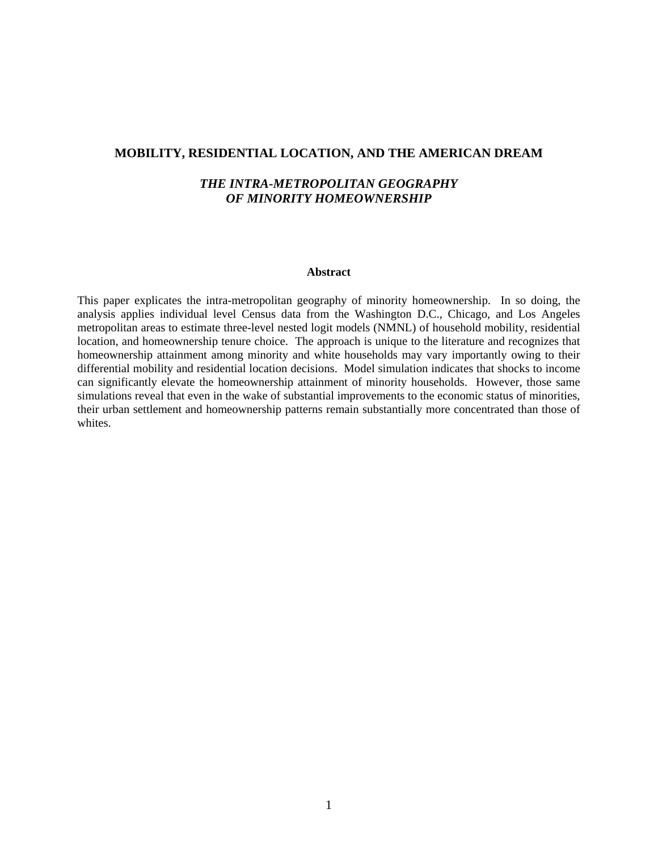#### **MOBILITY, RESIDENTIAL LOCATION, AND THE AMERICAN DREAM**

## *THE INTRA-METROPOLITAN GEOGRAPHY OF MINORITY HOMEOWNERSHIP*

#### **Abstract**

This paper explicates the intra-metropolitan geography of minority homeownership. In so doing, the analysis applies individual level Census data from the Washington D.C., Chicago, and Los Angeles metropolitan areas to estimate three-level nested logit models (NMNL) of household mobility, residential location, and homeownership tenure choice. The approach is unique to the literature and recognizes that homeownership attainment among minority and white households may vary importantly owing to their differential mobility and residential location decisions. Model simulation indicates that shocks to income can significantly elevate the homeownership attainment of minority households. However, those same simulations reveal that even in the wake of substantial improvements to the economic status of minorities, their urban settlement and homeownership patterns remain substantially more concentrated than those of whites.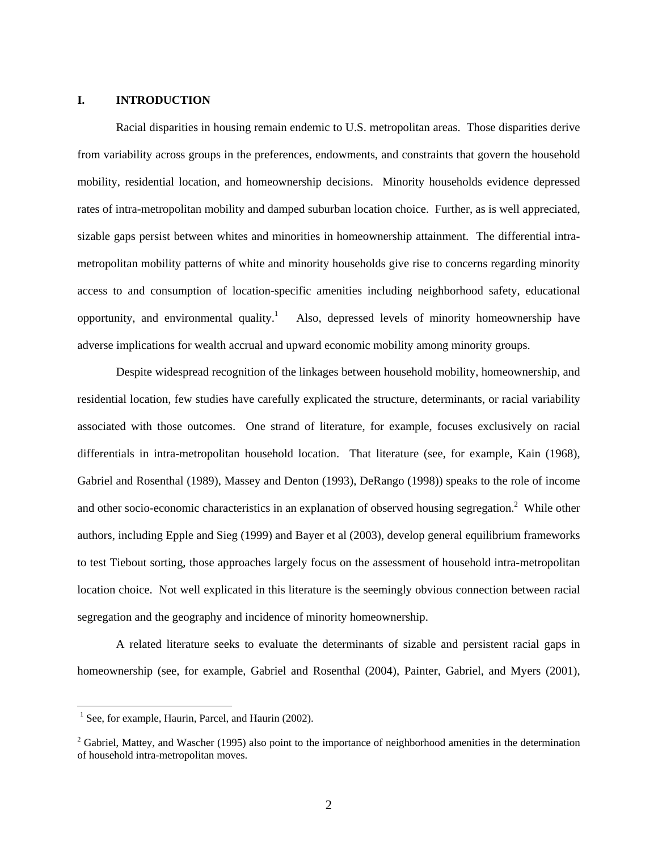### **I. INTRODUCTION**

Racial disparities in housing remain endemic to U.S. metropolitan areas. Those disparities derive from variability across groups in the preferences, endowments, and constraints that govern the household mobility, residential location, and homeownership decisions. Minority households evidence depressed rates of intra-metropolitan mobility and damped suburban location choice. Further, as is well appreciated, sizable gaps persist between whites and minorities in homeownership attainment. The differential intrametropolitan mobility patterns of white and minority households give rise to concerns regarding minority access to and consumption of location-specific amenities including neighborhood safety, educational opportunity, and environmental quality. $\frac{1}{1}$  Also, depressed levels of minority homeownership have adverse implications for wealth accrual and upward economic mobility among minority groups.

Despite widespread recognition of the linkages between household mobility, homeownership, and residential location, few studies have carefully explicated the structure, determinants, or racial variability associated with those outcomes. One strand of literature, for example, focuses exclusively on racial differentials in intra-metropolitan household location. That literature (see, for example, Kain (1968), Gabriel and Rosenthal (1989), Massey and Denton (1993), DeRango (1998)) speaks to the role of income and other socio-economic characteristics in an explanation of observed housing segregation.<sup>2</sup> While other authors, including Epple and Sieg (1999) and Bayer et al (2003), develop general equilibrium frameworks to test Tiebout sorting, those approaches largely focus on the assessment of household intra-metropolitan location choice. Not well explicated in this literature is the seemingly obvious connection between racial segregation and the geography and incidence of minority homeownership.

A related literature seeks to evaluate the determinants of sizable and persistent racial gaps in homeownership (see, for example, Gabriel and Rosenthal (2004), Painter, Gabriel, and Myers (2001),

<sup>&</sup>lt;sup>1</sup> See, for example, Haurin, Parcel, and Haurin (2002).

 $2^2$  Gabriel, Mattey, and Wascher (1995) also point to the importance of neighborhood amenities in the determination of household intra-metropolitan moves.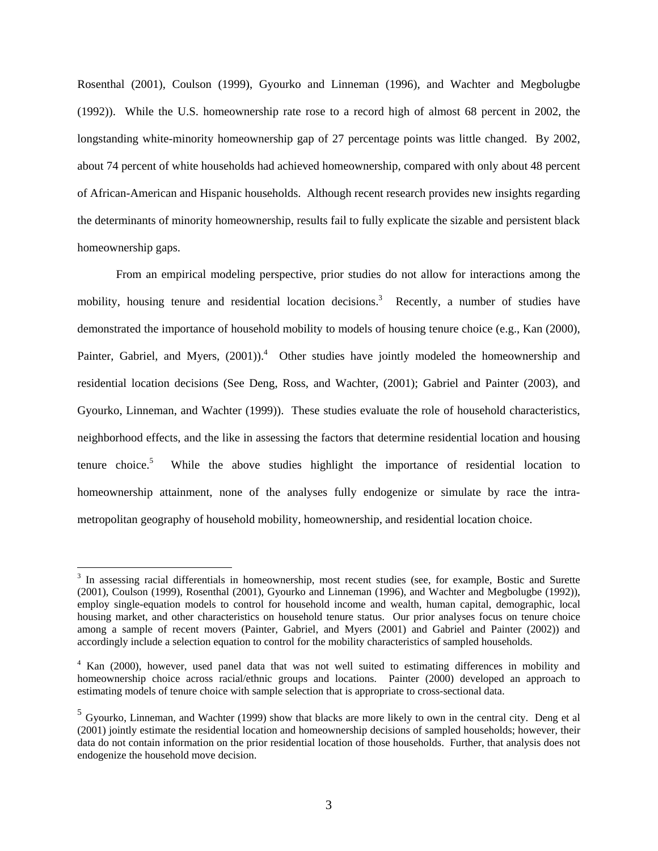Rosenthal (2001), Coulson (1999), Gyourko and Linneman (1996), and Wachter and Megbolugbe (1992)). While the U.S. homeownership rate rose to a record high of almost 68 percent in 2002, the longstanding white-minority homeownership gap of 27 percentage points was little changed. By 2002, about 74 percent of white households had achieved homeownership, compared with only about 48 percent of African-American and Hispanic households. Although recent research provides new insights regarding the determinants of minority homeownership, results fail to fully explicate the sizable and persistent black homeownership gaps.

From an empirical modeling perspective, prior studies do not allow for interactions among the mobility, housing tenure and residential location decisions.<sup>3</sup> Recently, a number of studies have demonstrated the importance of household mobility to models of housing tenure choice (e.g., Kan (2000), Painter, Gabriel, and Myers,  $(2001)$ .<sup>4</sup> Other studies have jointly modeled the homeownership and residential location decisions (See Deng, Ross, and Wachter, (2001); Gabriel and Painter (2003), and Gyourko, Linneman, and Wachter (1999)). These studies evaluate the role of household characteristics, neighborhood effects, and the like in assessing the factors that determine residential location and housing tenure choice.<sup>5</sup> While the above studies highlight the importance of residential location to homeownership attainment, none of the analyses fully endogenize or simulate by race the intrametropolitan geography of household mobility, homeownership, and residential location choice.

<sup>&</sup>lt;sup>3</sup> In assessing racial differentials in homeownership, most recent studies (see, for example, Bostic and Surette (2001), Coulson (1999), Rosenthal (2001), Gyourko and Linneman (1996), and Wachter and Megbolugbe (1992)), employ single-equation models to control for household income and wealth, human capital, demographic, local housing market, and other characteristics on household tenure status. Our prior analyses focus on tenure choice among a sample of recent movers (Painter, Gabriel, and Myers (2001) and Gabriel and Painter (2002)) and accordingly include a selection equation to control for the mobility characteristics of sampled households.

<sup>&</sup>lt;sup>4</sup> Kan (2000), however, used panel data that was not well suited to estimating differences in mobility and homeownership choice across racial/ethnic groups and locations. Painter (2000) developed an approach to estimating models of tenure choice with sample selection that is appropriate to cross-sectional data.

 $<sup>5</sup>$  Gyourko, Linneman, and Wachter (1999) show that blacks are more likely to own in the central city. Deng et al</sup> (2001) jointly estimate the residential location and homeownership decisions of sampled households; however, their data do not contain information on the prior residential location of those households. Further, that analysis does not endogenize the household move decision.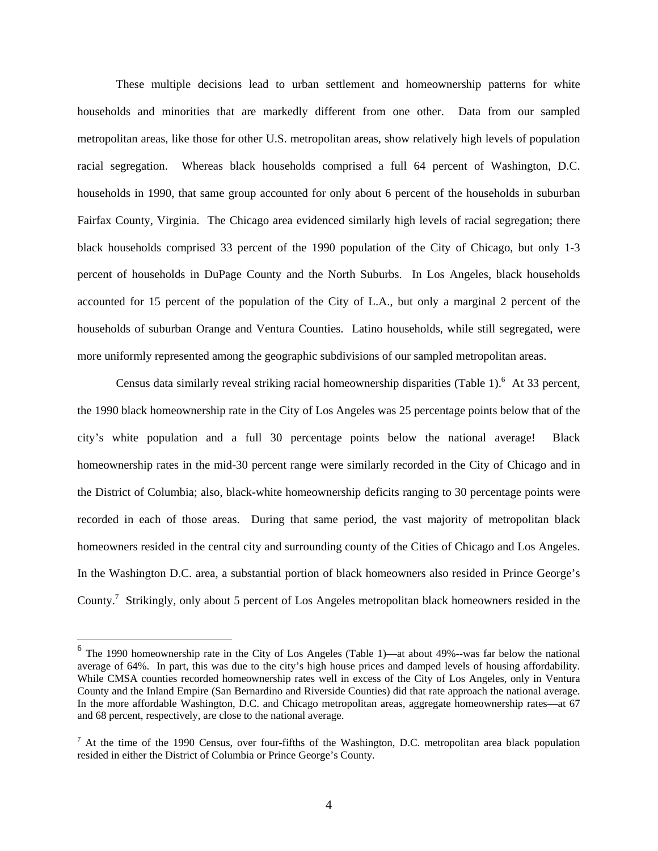These multiple decisions lead to urban settlement and homeownership patterns for white households and minorities that are markedly different from one other. Data from our sampled metropolitan areas, like those for other U.S. metropolitan areas, show relatively high levels of population racial segregation. Whereas black households comprised a full 64 percent of Washington, D.C. households in 1990, that same group accounted for only about 6 percent of the households in suburban Fairfax County, Virginia. The Chicago area evidenced similarly high levels of racial segregation; there black households comprised 33 percent of the 1990 population of the City of Chicago, but only 1-3 percent of households in DuPage County and the North Suburbs. In Los Angeles, black households accounted for 15 percent of the population of the City of L.A., but only a marginal 2 percent of the households of suburban Orange and Ventura Counties. Latino households, while still segregated, were more uniformly represented among the geographic subdivisions of our sampled metropolitan areas.

Census data similarly reveal striking racial homeownership disparities (Table 1).<sup>6</sup> At 33 percent, the 1990 black homeownership rate in the City of Los Angeles was 25 percentage points below that of the city's white population and a full 30 percentage points below the national average! Black homeownership rates in the mid-30 percent range were similarly recorded in the City of Chicago and in the District of Columbia; also, black-white homeownership deficits ranging to 30 percentage points were recorded in each of those areas. During that same period, the vast majority of metropolitan black homeowners resided in the central city and surrounding county of the Cities of Chicago and Los Angeles. In the Washington D.C. area, a substantial portion of black homeowners also resided in Prince George's County.<sup>7</sup> Strikingly, only about 5 percent of Los Angeles metropolitan black homeowners resided in the

<sup>6</sup> The 1990 homeownership rate in the City of Los Angeles (Table 1)—at about 49%--was far below the national average of 64%. In part, this was due to the city's high house prices and damped levels of housing affordability. While CMSA counties recorded homeownership rates well in excess of the City of Los Angeles, only in Ventura County and the Inland Empire (San Bernardino and Riverside Counties) did that rate approach the national average. In the more affordable Washington, D.C. and Chicago metropolitan areas, aggregate homeownership rates—at 67 and 68 percent, respectively, are close to the national average.

 $<sup>7</sup>$  At the time of the 1990 Census, over four-fifths of the Washington, D.C. metropolitan area black population</sup> resided in either the District of Columbia or Prince George's County.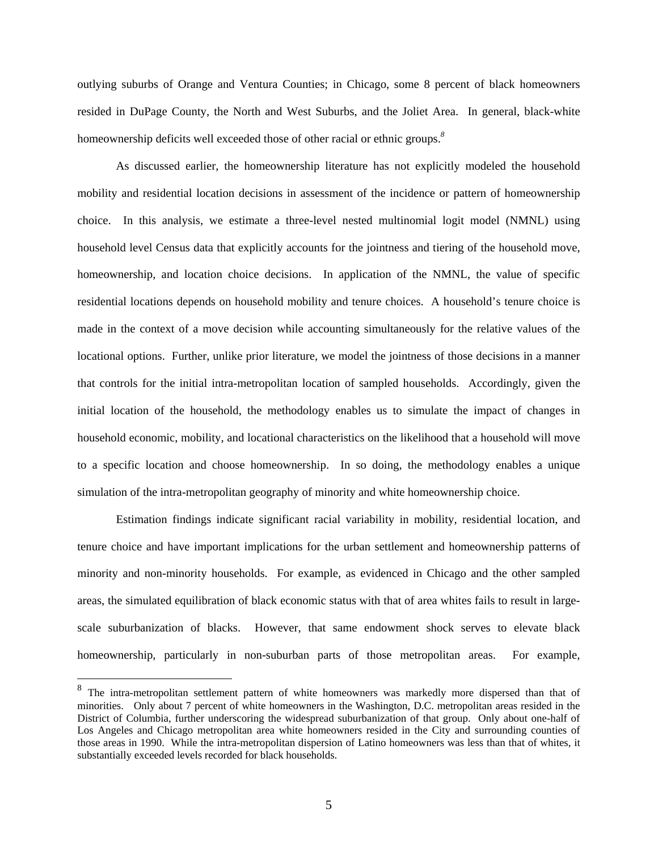outlying suburbs of Orange and Ventura Counties; in Chicago, some 8 percent of black homeowners resided in DuPage County, the North and West Suburbs, and the Joliet Area.In general, black-white homeownership deficits well exceeded those of other racial or ethnic groups.*<sup>8</sup>* 

As discussed earlier, the homeownership literature has not explicitly modeled the household mobility and residential location decisions in assessment of the incidence or pattern of homeownership choice. In this analysis, we estimate a three-level nested multinomial logit model (NMNL) using household level Census data that explicitly accounts for the jointness and tiering of the household move, homeownership, and location choice decisions. In application of the NMNL, the value of specific residential locations depends on household mobility and tenure choices. A household's tenure choice is made in the context of a move decision while accounting simultaneously for the relative values of the locational options. Further, unlike prior literature, we model the jointness of those decisions in a manner that controls for the initial intra-metropolitan location of sampled households. Accordingly, given the initial location of the household, the methodology enables us to simulate the impact of changes in household economic, mobility, and locational characteristics on the likelihood that a household will move to a specific location and choose homeownership. In so doing, the methodology enables a unique simulation of the intra-metropolitan geography of minority and white homeownership choice.

Estimation findings indicate significant racial variability in mobility, residential location, and tenure choice and have important implications for the urban settlement and homeownership patterns of minority and non-minority households. For example, as evidenced in Chicago and the other sampled areas, the simulated equilibration of black economic status with that of area whites fails to result in largescale suburbanization of blacks. However, that same endowment shock serves to elevate black homeownership, particularly in non-suburban parts of those metropolitan areas. For example,

<sup>8</sup> The intra-metropolitan settlement pattern of white homeowners was markedly more dispersed than that of minorities. Only about 7 percent of white homeowners in the Washington, D.C. metropolitan areas resided in the District of Columbia, further underscoring the widespread suburbanization of that group. Only about one-half of Los Angeles and Chicago metropolitan area white homeowners resided in the City and surrounding counties of those areas in 1990. While the intra-metropolitan dispersion of Latino homeowners was less than that of whites, it substantially exceeded levels recorded for black households.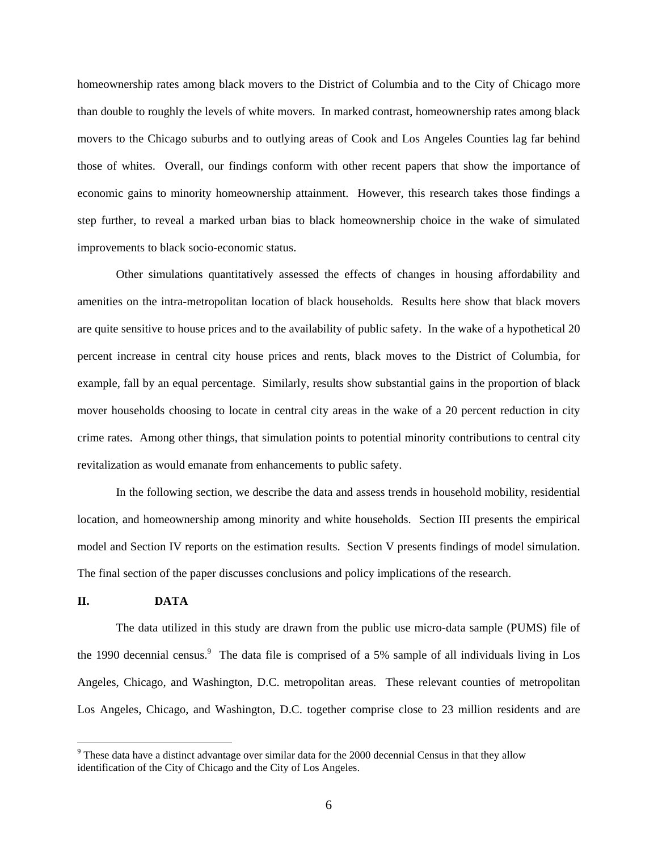homeownership rates among black movers to the District of Columbia and to the City of Chicago more than double to roughly the levels of white movers. In marked contrast, homeownership rates among black movers to the Chicago suburbs and to outlying areas of Cook and Los Angeles Counties lag far behind those of whites. Overall, our findings conform with other recent papers that show the importance of economic gains to minority homeownership attainment. However, this research takes those findings a step further, to reveal a marked urban bias to black homeownership choice in the wake of simulated improvements to black socio-economic status.

Other simulations quantitatively assessed the effects of changes in housing affordability and amenities on the intra-metropolitan location of black households. Results here show that black movers are quite sensitive to house prices and to the availability of public safety. In the wake of a hypothetical 20 percent increase in central city house prices and rents, black moves to the District of Columbia, for example, fall by an equal percentage. Similarly, results show substantial gains in the proportion of black mover households choosing to locate in central city areas in the wake of a 20 percent reduction in city crime rates. Among other things, that simulation points to potential minority contributions to central city revitalization as would emanate from enhancements to public safety.

In the following section, we describe the data and assess trends in household mobility, residential location, and homeownership among minority and white households. Section III presents the empirical model and Section IV reports on the estimation results. Section V presents findings of model simulation. The final section of the paper discusses conclusions and policy implications of the research.

#### **II. DATA**

 $\overline{a}$ 

The data utilized in this study are drawn from the public use micro-data sample (PUMS) file of the 1990 decennial census.<sup>9</sup> The data file is comprised of a 5% sample of all individuals living in Los Angeles, Chicago, and Washington, D.C. metropolitan areas. These relevant counties of metropolitan Los Angeles, Chicago, and Washington, D.C. together comprise close to 23 million residents and are

 $9$  These data have a distinct advantage over similar data for the 2000 decennial Census in that they allow identification of the City of Chicago and the City of Los Angeles.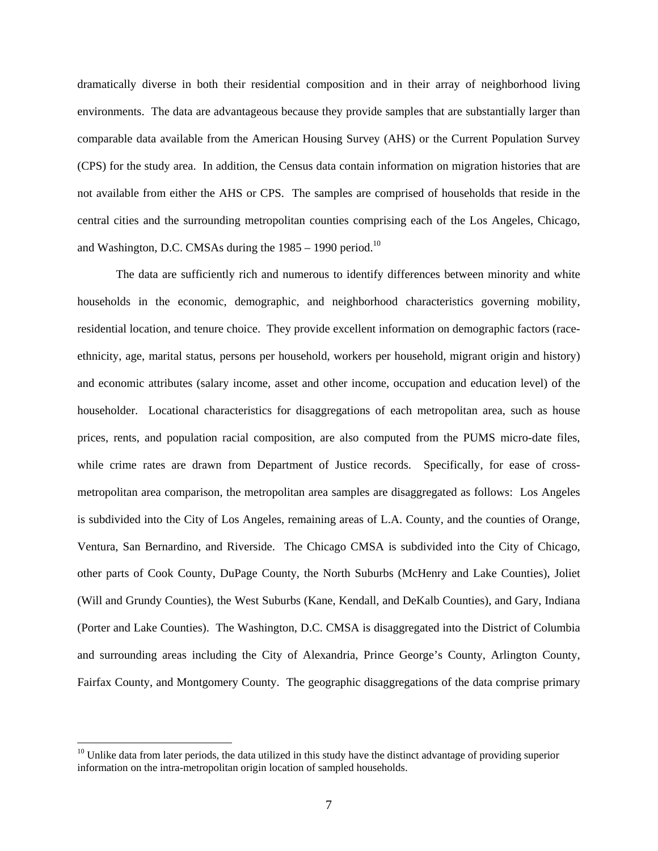dramatically diverse in both their residential composition and in their array of neighborhood living environments. The data are advantageous because they provide samples that are substantially larger than comparable data available from the American Housing Survey (AHS) or the Current Population Survey (CPS) for the study area. In addition, the Census data contain information on migration histories that are not available from either the AHS or CPS. The samples are comprised of households that reside in the central cities and the surrounding metropolitan counties comprising each of the Los Angeles, Chicago, and Washington, D.C. CMSAs during the  $1985 - 1990$  period.<sup>10</sup>

The data are sufficiently rich and numerous to identify differences between minority and white households in the economic, demographic, and neighborhood characteristics governing mobility, residential location, and tenure choice. They provide excellent information on demographic factors (raceethnicity, age, marital status, persons per household, workers per household, migrant origin and history) and economic attributes (salary income, asset and other income, occupation and education level) of the householder. Locational characteristics for disaggregations of each metropolitan area, such as house prices, rents, and population racial composition, are also computed from the PUMS micro-date files, while crime rates are drawn from Department of Justice records. Specifically, for ease of crossmetropolitan area comparison, the metropolitan area samples are disaggregated as follows: Los Angeles is subdivided into the City of Los Angeles, remaining areas of L.A. County, and the counties of Orange, Ventura, San Bernardino, and Riverside. The Chicago CMSA is subdivided into the City of Chicago, other parts of Cook County, DuPage County, the North Suburbs (McHenry and Lake Counties), Joliet (Will and Grundy Counties), the West Suburbs (Kane, Kendall, and DeKalb Counties), and Gary, Indiana (Porter and Lake Counties). The Washington, D.C. CMSA is disaggregated into the District of Columbia and surrounding areas including the City of Alexandria, Prince George's County, Arlington County, Fairfax County, and Montgomery County. The geographic disaggregations of the data comprise primary

<sup>&</sup>lt;sup>10</sup> Unlike data from later periods, the data utilized in this study have the distinct advantage of providing superior information on the intra-metropolitan origin location of sampled households.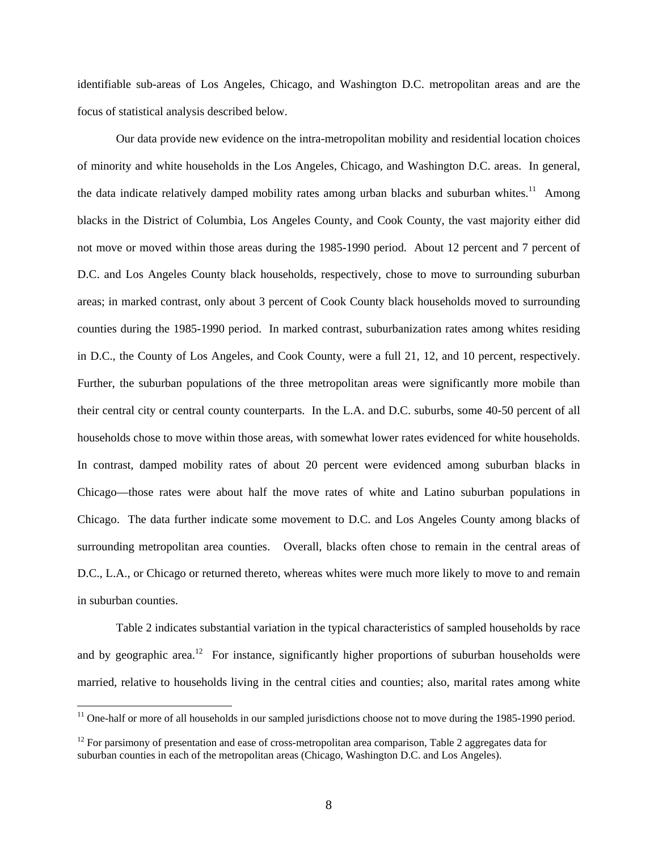identifiable sub-areas of Los Angeles, Chicago, and Washington D.C. metropolitan areas and are the focus of statistical analysis described below.

Our data provide new evidence on the intra-metropolitan mobility and residential location choices of minority and white households in the Los Angeles, Chicago, and Washington D.C. areas. In general, the data indicate relatively damped mobility rates among urban blacks and suburban whites.<sup>11</sup> Among blacks in the District of Columbia, Los Angeles County, and Cook County, the vast majority either did not move or moved within those areas during the 1985-1990 period. About 12 percent and 7 percent of D.C. and Los Angeles County black households, respectively, chose to move to surrounding suburban areas; in marked contrast, only about 3 percent of Cook County black households moved to surrounding counties during the 1985-1990 period. In marked contrast, suburbanization rates among whites residing in D.C., the County of Los Angeles, and Cook County, were a full 21, 12, and 10 percent, respectively. Further, the suburban populations of the three metropolitan areas were significantly more mobile than their central city or central county counterparts. In the L.A. and D.C. suburbs, some 40-50 percent of all households chose to move within those areas, with somewhat lower rates evidenced for white households. In contrast, damped mobility rates of about 20 percent were evidenced among suburban blacks in Chicago—those rates were about half the move rates of white and Latino suburban populations in Chicago. The data further indicate some movement to D.C. and Los Angeles County among blacks of surrounding metropolitan area counties. Overall, blacks often chose to remain in the central areas of D.C., L.A., or Chicago or returned thereto, whereas whites were much more likely to move to and remain in suburban counties.

Table 2 indicates substantial variation in the typical characteristics of sampled households by race and by geographic area.<sup>12</sup> For instance, significantly higher proportions of suburban households were married, relative to households living in the central cities and counties; also, marital rates among white

 $11$  One-half or more of all households in our sampled jurisdictions choose not to move during the 1985-1990 period.

 $12$  For parsimony of presentation and ease of cross-metropolitan area comparison, Table 2 aggregates data for suburban counties in each of the metropolitan areas (Chicago, Washington D.C. and Los Angeles).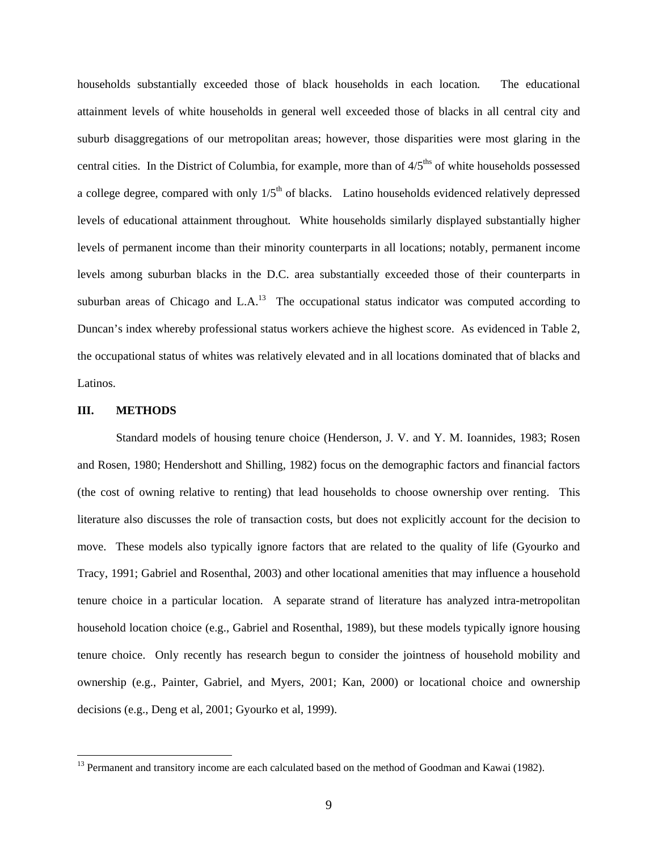households substantially exceeded those of black households in each location*.* The educational attainment levels of white households in general well exceeded those of blacks in all central city and suburb disaggregations of our metropolitan areas; however, those disparities were most glaring in the central cities. In the District of Columbia, for example, more than of  $4/5<sup>ths</sup>$  of white households possessed a college degree, compared with only  $1/5<sup>th</sup>$  of blacks. Latino households evidenced relatively depressed levels of educational attainment throughout*.* White households similarly displayed substantially higher levels of permanent income than their minority counterparts in all locations; notably, permanent income levels among suburban blacks in the D.C. area substantially exceeded those of their counterparts in suburban areas of Chicago and L.A. $^{13}$  The occupational status indicator was computed according to Duncan's index whereby professional status workers achieve the highest score. As evidenced in Table 2, the occupational status of whites was relatively elevated and in all locations dominated that of blacks and Latinos.

#### **III. METHODS**

<u>.</u>

Standard models of housing tenure choice (Henderson, J. V. and Y. M. Ioannides, 1983; Rosen and Rosen, 1980; Hendershott and Shilling, 1982) focus on the demographic factors and financial factors (the cost of owning relative to renting) that lead households to choose ownership over renting. This literature also discusses the role of transaction costs, but does not explicitly account for the decision to move. These models also typically ignore factors that are related to the quality of life (Gyourko and Tracy, 1991; Gabriel and Rosenthal, 2003) and other locational amenities that may influence a household tenure choice in a particular location. A separate strand of literature has analyzed intra-metropolitan household location choice (e.g., Gabriel and Rosenthal, 1989), but these models typically ignore housing tenure choice. Only recently has research begun to consider the jointness of household mobility and ownership (e.g., Painter, Gabriel, and Myers, 2001; Kan, 2000) or locational choice and ownership decisions (e.g., Deng et al, 2001; Gyourko et al, 1999).

<sup>&</sup>lt;sup>13</sup> Permanent and transitory income are each calculated based on the method of Goodman and Kawai (1982).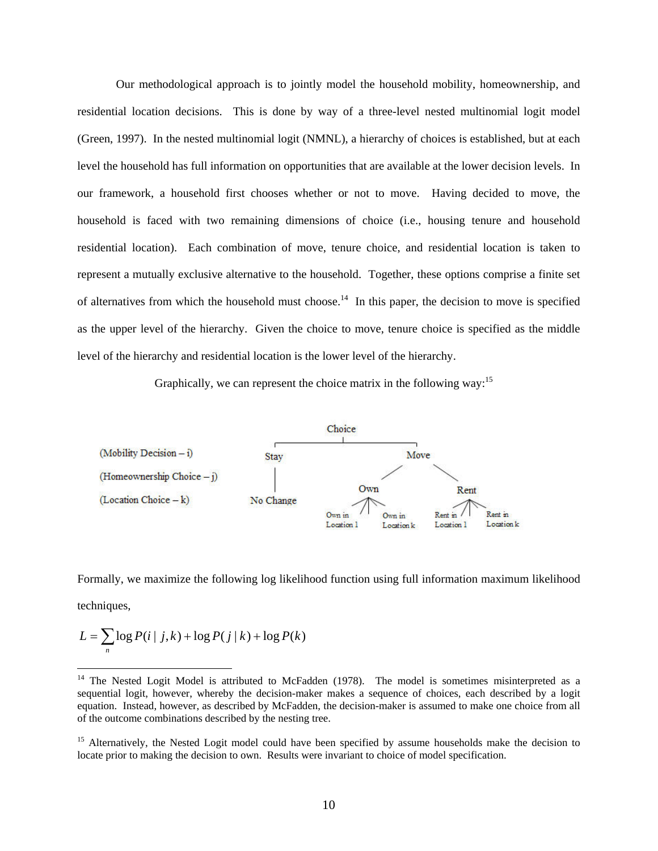Our methodological approach is to jointly model the household mobility, homeownership, and residential location decisions. This is done by way of a three-level nested multinomial logit model (Green, 1997). In the nested multinomial logit (NMNL), a hierarchy of choices is established, but at each level the household has full information on opportunities that are available at the lower decision levels. In our framework, a household first chooses whether or not to move. Having decided to move, the household is faced with two remaining dimensions of choice (i.e., housing tenure and household residential location). Each combination of move, tenure choice, and residential location is taken to represent a mutually exclusive alternative to the household. Together, these options comprise a finite set of alternatives from which the household must choose.<sup>14</sup> In this paper, the decision to move is specified as the upper level of the hierarchy. Given the choice to move, tenure choice is specified as the middle level of the hierarchy and residential location is the lower level of the hierarchy.

Graphically, we can represent the choice matrix in the following way:<sup>15</sup>



Formally, we maximize the following log likelihood function using full information maximum likelihood techniques,

$$
L = \sum_{n} \log P(i | j, k) + \log P(j | k) + \log P(k)
$$

<sup>&</sup>lt;sup>14</sup> The Nested Logit Model is attributed to McFadden (1978). The model is sometimes misinterpreted as a sequential logit, however, whereby the decision-maker makes a sequence of choices, each described by a logit equation. Instead, however, as described by McFadden, the decision-maker is assumed to make one choice from all of the outcome combinations described by the nesting tree.

<sup>&</sup>lt;sup>15</sup> Alternatively, the Nested Logit model could have been specified by assume households make the decision to locate prior to making the decision to own. Results were invariant to choice of model specification.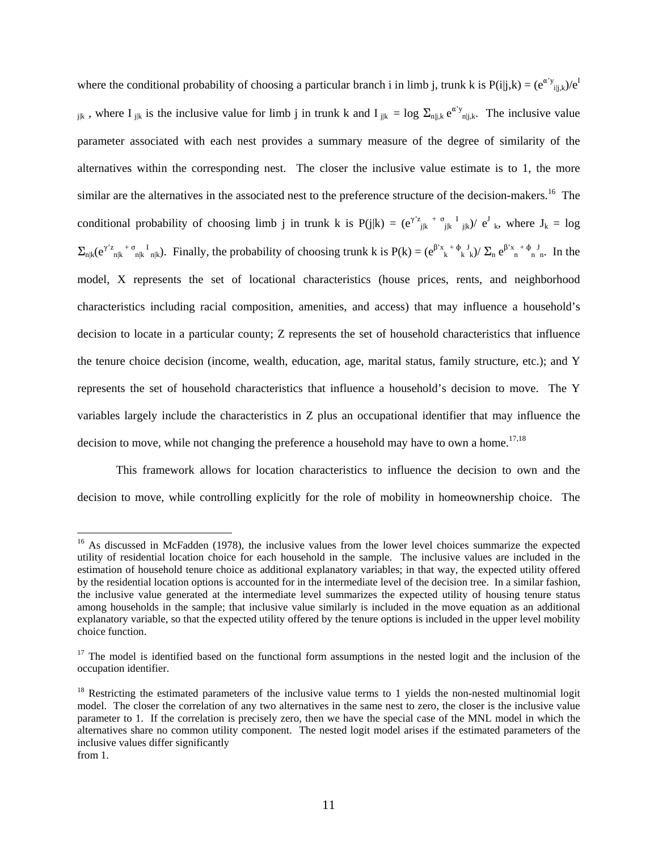where the conditional probability of choosing a particular branch i in limb j, trunk k is  $P(i|j,k) = (e^{\alpha' y}i|j,k) e^{i(k-1)y}$  $j_{ijk}$ , where I<sub>jk</sub> is the inclusive value for limb j in trunk k and I<sub>jk</sub> = log  $\Sigma_{n|j,k} e^{\alpha' y}$ <sub>nlik</sub>. The inclusive value parameter associated with each nest provides a summary measure of the degree of similarity of the alternatives within the corresponding nest. The closer the inclusive value estimate is to 1, the more similar are the alternatives in the associated nest to the preference structure of the decision-makers.<sup>16</sup> The conditional probability of choosing limb j in trunk k is  $P(j|k) = (e^{\gamma z} e^{j k} + e^{j k} e^{j k} + e^{j k} e^{j k})$  e<sup>J</sup> k, where  $J_k = log$  $\Sigma_{n|k} (e^{\gamma z}{}_{n|k} + \sigma_{n|k}^{I}{}_{n|k})$ . Finally, the probability of choosing trunk k is  $P(k) = (e^{\beta x}{}_{k} + \phi_{k}^{I}{}_{k}) / \sum_{n} e^{\beta x}{}_{n}^{I} + \phi_{n}^{J}{}_{n}$ . In the model, X represents the set of locational characteristics (house prices, rents, and neighborhood characteristics including racial composition, amenities, and access) that may influence a household's decision to locate in a particular county; Z represents the set of household characteristics that influence the tenure choice decision (income, wealth, education, age, marital status, family structure, etc.); and Y represents the set of household characteristics that influence a household's decision to move. The Y variables largely include the characteristics in Z plus an occupational identifier that may influence the decision to move, while not changing the preference a household may have to own a home.<sup>17,18</sup>

This framework allows for location characteristics to influence the decision to own and the decision to move, while controlling explicitly for the role of mobility in homeownership choice. The

<sup>&</sup>lt;sup>16</sup> As discussed in McFadden (1978), the inclusive values from the lower level choices summarize the expected utility of residential location choice for each household in the sample. The inclusive values are included in the estimation of household tenure choice as additional explanatory variables; in that way, the expected utility offered by the residential location options is accounted for in the intermediate level of the decision tree. In a similar fashion, the inclusive value generated at the intermediate level summarizes the expected utility of housing tenure status among households in the sample; that inclusive value similarly is included in the move equation as an additional explanatory variable, so that the expected utility offered by the tenure options is included in the upper level mobility choice function.

 $17$  The model is identified based on the functional form assumptions in the nested logit and the inclusion of the occupation identifier.

 $18$  Restricting the estimated parameters of the inclusive value terms to 1 yields the non-nested multinomial logit model. The closer the correlation of any two alternatives in the same nest to zero, the closer is the inclusive value parameter to 1. If the correlation is precisely zero, then we have the special case of the MNL model in which the alternatives share no common utility component. The nested logit model arises if the estimated parameters of the inclusive values differ significantly from 1.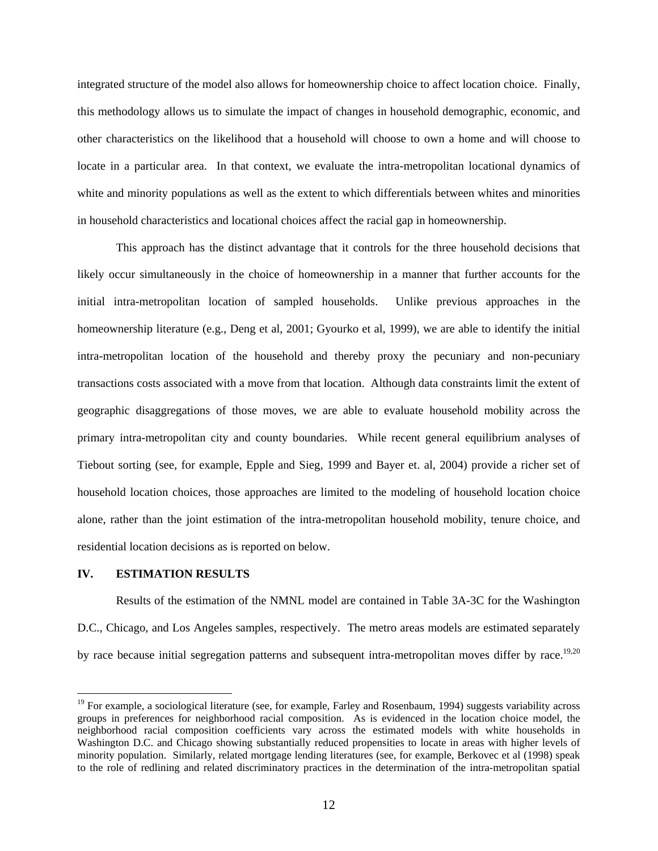integrated structure of the model also allows for homeownership choice to affect location choice. Finally, this methodology allows us to simulate the impact of changes in household demographic, economic, and other characteristics on the likelihood that a household will choose to own a home and will choose to locate in a particular area. In that context, we evaluate the intra-metropolitan locational dynamics of white and minority populations as well as the extent to which differentials between whites and minorities in household characteristics and locational choices affect the racial gap in homeownership.

This approach has the distinct advantage that it controls for the three household decisions that likely occur simultaneously in the choice of homeownership in a manner that further accounts for the initial intra-metropolitan location of sampled households. Unlike previous approaches in the homeownership literature (e.g., Deng et al, 2001; Gyourko et al, 1999), we are able to identify the initial intra-metropolitan location of the household and thereby proxy the pecuniary and non-pecuniary transactions costs associated with a move from that location. Although data constraints limit the extent of geographic disaggregations of those moves, we are able to evaluate household mobility across the primary intra-metropolitan city and county boundaries. While recent general equilibrium analyses of Tiebout sorting (see, for example, Epple and Sieg, 1999 and Bayer et. al, 2004) provide a richer set of household location choices, those approaches are limited to the modeling of household location choice alone, rather than the joint estimation of the intra-metropolitan household mobility, tenure choice, and residential location decisions as is reported on below.

#### **IV. ESTIMATION RESULTS**

 $\overline{a}$ 

Results of the estimation of the NMNL model are contained in Table 3A-3C for the Washington D.C., Chicago, and Los Angeles samples, respectively.The metro areas models are estimated separately by race because initial segregation patterns and subsequent intra-metropolitan moves differ by race.<sup>19,20</sup>

<sup>&</sup>lt;sup>19</sup> For example, a sociological literature (see, for example, Farley and Rosenbaum, 1994) suggests variability across groups in preferences for neighborhood racial composition. As is evidenced in the location choice model, the neighborhood racial composition coefficients vary across the estimated models with white households in Washington D.C. and Chicago showing substantially reduced propensities to locate in areas with higher levels of minority population. Similarly, related mortgage lending literatures (see, for example, Berkovec et al (1998) speak to the role of redlining and related discriminatory practices in the determination of the intra-metropolitan spatial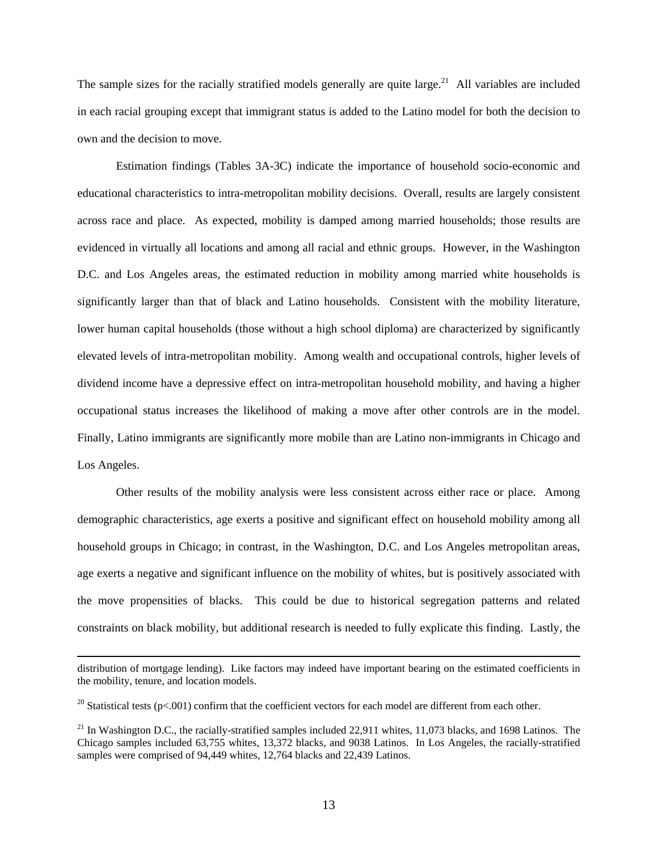The sample sizes for the racially stratified models generally are quite large.<sup>21</sup> All variables are included in each racial grouping except that immigrant status is added to the Latino model for both the decision to own and the decision to move.

Estimation findings (Tables 3A-3C) indicate the importance of household socio-economic and educational characteristics to intra-metropolitan mobility decisions. Overall, results are largely consistent across race and place. As expected, mobility is damped among married households; those results are evidenced in virtually all locations and among all racial and ethnic groups. However, in the Washington D.C. and Los Angeles areas, the estimated reduction in mobility among married white households is significantly larger than that of black and Latino households. Consistent with the mobility literature, lower human capital households (those without a high school diploma) are characterized by significantly elevated levels of intra-metropolitan mobility. Among wealth and occupational controls, higher levels of dividend income have a depressive effect on intra-metropolitan household mobility, and having a higher occupational status increases the likelihood of making a move after other controls are in the model. Finally, Latino immigrants are significantly more mobile than are Latino non-immigrants in Chicago and Los Angeles.

Other results of the mobility analysis were less consistent across either race or place. Among demographic characteristics, age exerts a positive and significant effect on household mobility among all household groups in Chicago; in contrast, in the Washington, D.C. and Los Angeles metropolitan areas, age exerts a negative and significant influence on the mobility of whites, but is positively associated with the move propensities of blacks. This could be due to historical segregation patterns and related constraints on black mobility, but additional research is needed to fully explicate this finding.Lastly, the

distribution of mortgage lending). Like factors may indeed have important bearing on the estimated coefficients in the mobility, tenure, and location models.

<sup>&</sup>lt;sup>20</sup> Statistical tests (p<.001) confirm that the coefficient vectors for each model are different from each other.

 $^{21}$  In Washington D.C., the racially-stratified samples included 22,911 whites, 11,073 blacks, and 1698 Latinos. The Chicago samples included 63,755 whites, 13,372 blacks, and 9038 Latinos. In Los Angeles, the racially-stratified samples were comprised of 94,449 whites, 12,764 blacks and 22,439 Latinos.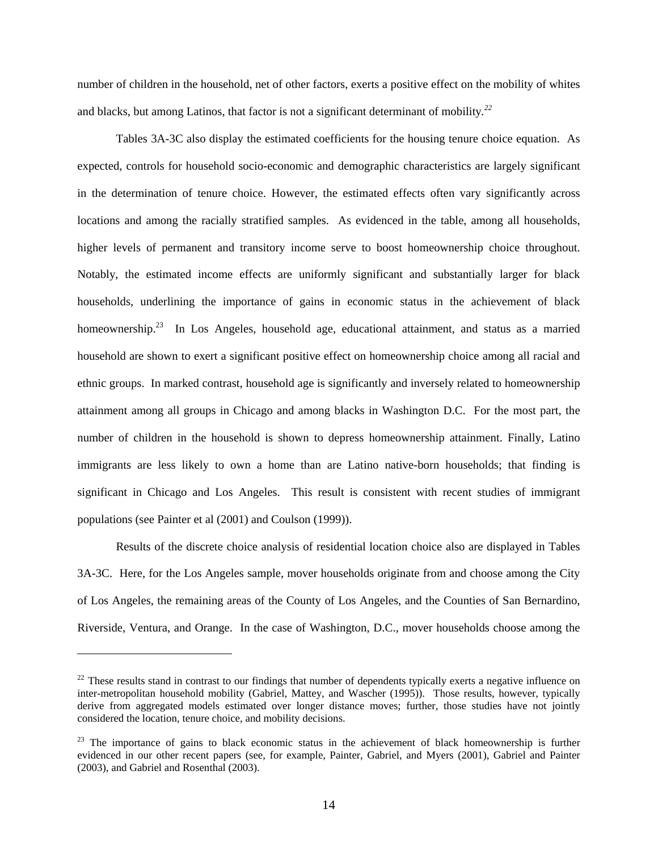number of children in the household, net of other factors, exerts a positive effect on the mobility of whites and blacks, but among Latinos, that factor is not a significant determinant of mobility*. 22* 

Tables 3A-3C also display the estimated coefficients for the housing tenure choice equation. As expected, controls for household socio-economic and demographic characteristics are largely significant in the determination of tenure choice. However, the estimated effects often vary significantly across locations and among the racially stratified samples.As evidenced in the table, among all households, higher levels of permanent and transitory income serve to boost homeownership choice throughout. Notably, the estimated income effects are uniformly significant and substantially larger for black households, underlining the importance of gains in economic status in the achievement of black homeownership.<sup>23</sup> In Los Angeles, household age, educational attainment, and status as a married household are shown to exert a significant positive effect on homeownership choice among all racial and ethnic groups. In marked contrast, household age is significantly and inversely related to homeownership attainment among all groups in Chicago and among blacks in Washington D.C. For the most part, the number of children in the household is shown to depress homeownership attainment. Finally, Latino immigrants are less likely to own a home than are Latino native-born households; that finding is significant in Chicago and Los Angeles. This result is consistent with recent studies of immigrant populations (see Painter et al (2001) and Coulson (1999)).

Results of the discrete choice analysis of residential location choice also are displayed in Tables 3A-3C. Here, for the Los Angeles sample, mover households originate from and choose among the City of Los Angeles, the remaining areas of the County of Los Angeles, and the Counties of San Bernardino, Riverside, Ventura, and Orange. In the case of Washington, D.C., mover households choose among the

 $22$  These results stand in contrast to our findings that number of dependents typically exerts a negative influence on inter-metropolitan household mobility (Gabriel, Mattey, and Wascher (1995)). Those results, however, typically derive from aggregated models estimated over longer distance moves; further, those studies have not jointly considered the location, tenure choice, and mobility decisions.

<sup>&</sup>lt;sup>23</sup> The importance of gains to black economic status in the achievement of black homeownership is further evidenced in our other recent papers (see, for example, Painter, Gabriel, and Myers (2001), Gabriel and Painter (2003), and Gabriel and Rosenthal (2003).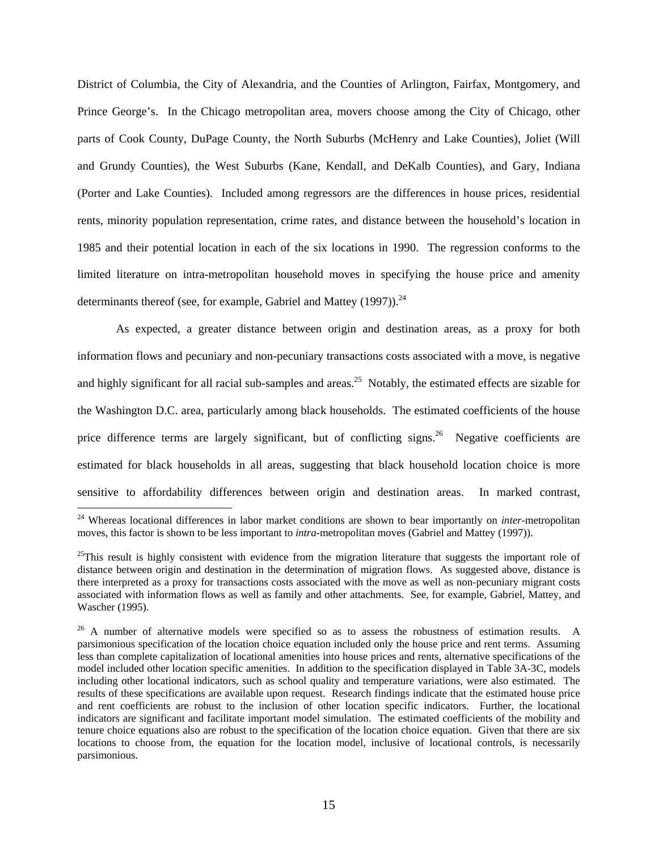District of Columbia, the City of Alexandria, and the Counties of Arlington, Fairfax, Montgomery, and Prince George's. In the Chicago metropolitan area, movers choose among the City of Chicago, other parts of Cook County, DuPage County, the North Suburbs (McHenry and Lake Counties), Joliet (Will and Grundy Counties), the West Suburbs (Kane, Kendall, and DeKalb Counties), and Gary, Indiana (Porter and Lake Counties). Included among regressors are the differences in house prices, residential rents, minority population representation, crime rates, and distance between the household's location in 1985 and their potential location in each of the six locations in 1990. The regression conforms to the limited literature on intra-metropolitan household moves in specifying the house price and amenity determinants thereof (see, for example, Gabriel and Mattey  $(1997)$ ).<sup>24</sup>

As expected, a greater distance between origin and destination areas, as a proxy for both information flows and pecuniary and non-pecuniary transactions costs associated with a move, is negative and highly significant for all racial sub-samples and areas.<sup>25</sup> Notably, the estimated effects are sizable for the Washington D.C. area, particularly among black households. The estimated coefficients of the house price difference terms are largely significant, but of conflicting signs.<sup>26</sup> Negative coefficients are estimated for black households in all areas, suggesting that black household location choice is more sensitive to affordability differences between origin and destination areas. In marked contrast,

<sup>&</sup>lt;sup>24</sup> Whereas locational differences in labor market conditions are shown to bear importantly on *inter*-metropolitan moves, this factor is shown to be less important to *intra*-metropolitan moves (Gabriel and Mattey (1997)).

 $^{25}$ This result is highly consistent with evidence from the migration literature that suggests the important role of distance between origin and destination in the determination of migration flows. As suggested above, distance is there interpreted as a proxy for transactions costs associated with the move as well as non-pecuniary migrant costs associated with information flows as well as family and other attachments. See, for example, Gabriel, Mattey, and Wascher (1995).

<sup>&</sup>lt;sup>26</sup> A number of alternative models were specified so as to assess the robustness of estimation results. A parsimonious specification of the location choice equation included only the house price and rent terms. Assuming less than complete capitalization of locational amenities into house prices and rents, alternative specifications of the model included other location specific amenities. In addition to the specification displayed in Table 3A-3C, models including other locational indicators, such as school quality and temperature variations, were also estimated. The results of these specifications are available upon request. Research findings indicate that the estimated house price and rent coefficients are robust to the inclusion of other location specific indicators. Further, the locational indicators are significant and facilitate important model simulation. The estimated coefficients of the mobility and tenure choice equations also are robust to the specification of the location choice equation. Given that there are six locations to choose from, the equation for the location model, inclusive of locational controls, is necessarily parsimonious.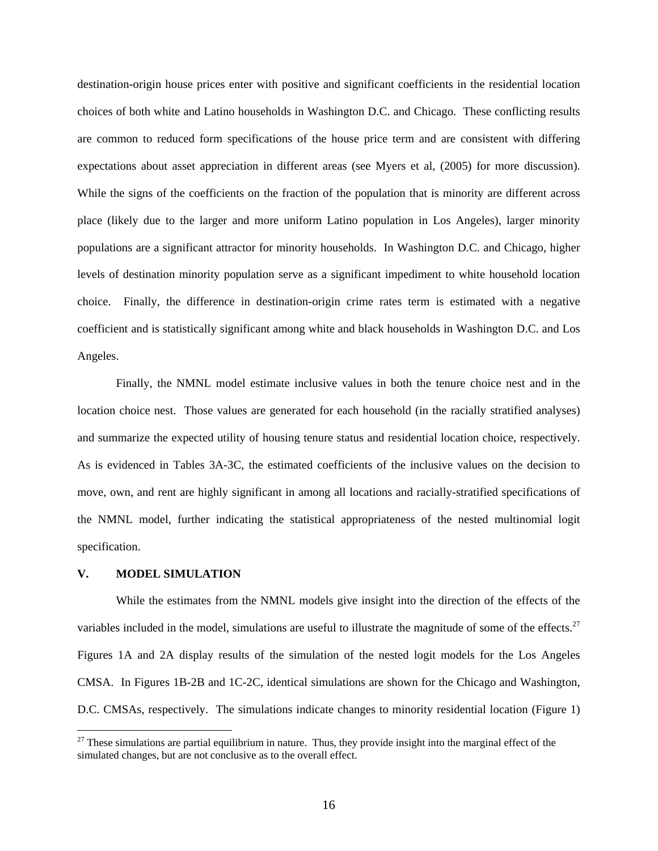destination-origin house prices enter with positive and significant coefficients in the residential location choices of both white and Latino households in Washington D.C. and Chicago. These conflicting results are common to reduced form specifications of the house price term and are consistent with differing expectations about asset appreciation in different areas (see Myers et al, (2005) for more discussion). While the signs of the coefficients on the fraction of the population that is minority are different across place (likely due to the larger and more uniform Latino population in Los Angeles), larger minority populations are a significant attractor for minority households. In Washington D.C. and Chicago, higher levels of destination minority population serve as a significant impediment to white household location choice. Finally, the difference in destination-origin crime rates term is estimated with a negative coefficient and is statistically significant among white and black households in Washington D.C. and Los Angeles.

Finally, the NMNL model estimate inclusive values in both the tenure choice nest and in the location choice nest. Those values are generated for each household (in the racially stratified analyses) and summarize the expected utility of housing tenure status and residential location choice, respectively. As is evidenced in Tables 3A-3C, the estimated coefficients of the inclusive values on the decision to move, own, and rent are highly significant in among all locations and racially-stratified specifications of the NMNL model, further indicating the statistical appropriateness of the nested multinomial logit specification.

#### **V. MODEL SIMULATION**

 $\overline{a}$ 

While the estimates from the NMNL models give insight into the direction of the effects of the variables included in the model, simulations are useful to illustrate the magnitude of some of the effects.<sup>27</sup> Figures 1A and 2A display results of the simulation of the nested logit models for the Los Angeles CMSA. In Figures 1B-2B and 1C-2C, identical simulations are shown for the Chicago and Washington, D.C. CMSAs, respectively. The simulations indicate changes to minority residential location (Figure 1)

 $27$  These simulations are partial equilibrium in nature. Thus, they provide insight into the marginal effect of the simulated changes, but are not conclusive as to the overall effect.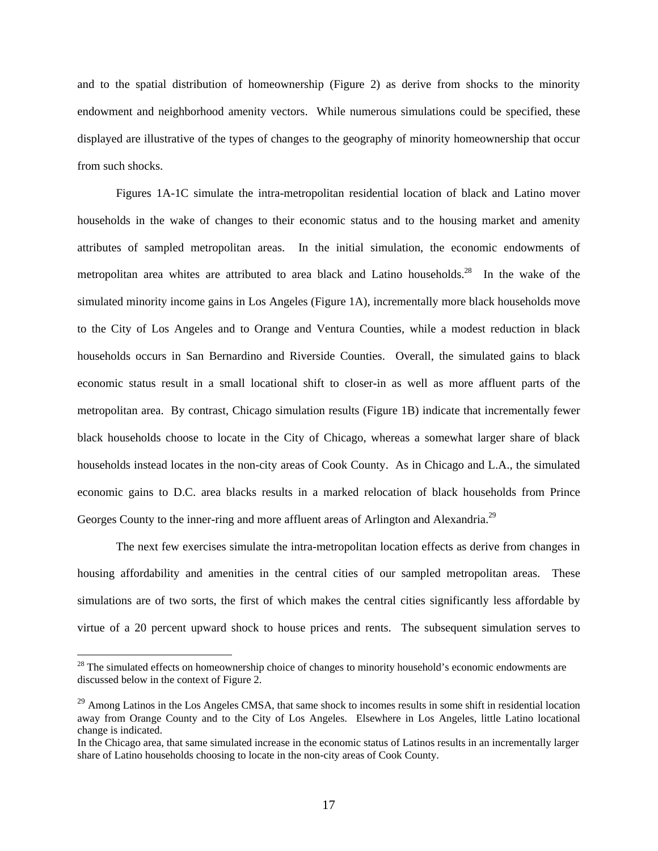and to the spatial distribution of homeownership (Figure 2) as derive from shocks to the minority endowment and neighborhood amenity vectors. While numerous simulations could be specified, these displayed are illustrative of the types of changes to the geography of minority homeownership that occur from such shocks.

Figures 1A-1C simulate the intra-metropolitan residential location of black and Latino mover households in the wake of changes to their economic status and to the housing market and amenity attributes of sampled metropolitan areas. In the initial simulation, the economic endowments of metropolitan area whites are attributed to area black and Latino households.<sup>28</sup> In the wake of the simulated minority income gains in Los Angeles (Figure 1A), incrementally more black households move to the City of Los Angeles and to Orange and Ventura Counties, while a modest reduction in black households occurs in San Bernardino and Riverside Counties. Overall, the simulated gains to black economic status result in a small locational shift to closer-in as well as more affluent parts of the metropolitan area. By contrast, Chicago simulation results (Figure 1B) indicate that incrementally fewer black households choose to locate in the City of Chicago, whereas a somewhat larger share of black households instead locates in the non-city areas of Cook County. As in Chicago and L.A., the simulated economic gains to D.C. area blacks results in a marked relocation of black households from Prince Georges County to the inner-ring and more affluent areas of Arlington and Alexandria.<sup>29</sup>

The next few exercises simulate the intra-metropolitan location effects as derive from changes in housing affordability and amenities in the central cities of our sampled metropolitan areas. These simulations are of two sorts, the first of which makes the central cities significantly less affordable by virtue of a 20 percent upward shock to house prices and rents. The subsequent simulation serves to

<sup>&</sup>lt;sup>28</sup> The simulated effects on homeownership choice of changes to minority household's economic endowments are discussed below in the context of Figure 2.

<sup>&</sup>lt;sup>29</sup> Among Latinos in the Los Angeles CMSA, that same shock to incomes results in some shift in residential location away from Orange County and to the City of Los Angeles. Elsewhere in Los Angeles, little Latino locational change is indicated.

In the Chicago area, that same simulated increase in the economic status of Latinos results in an incrementally larger share of Latino households choosing to locate in the non-city areas of Cook County.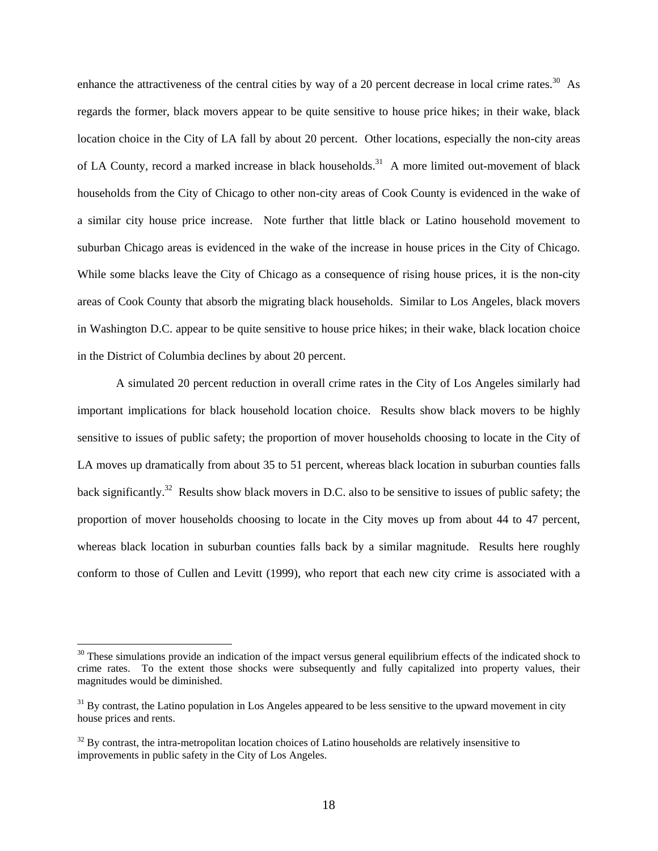enhance the attractiveness of the central cities by way of a 20 percent decrease in local crime rates.<sup>30</sup> As regards the former, black movers appear to be quite sensitive to house price hikes; in their wake, black location choice in the City of LA fall by about 20 percent. Other locations, especially the non-city areas of LA County, record a marked increase in black households.<sup>31</sup> A more limited out-movement of black households from the City of Chicago to other non-city areas of Cook County is evidenced in the wake of a similar city house price increase. Note further that little black or Latino household movement to suburban Chicago areas is evidenced in the wake of the increase in house prices in the City of Chicago. While some blacks leave the City of Chicago as a consequence of rising house prices, it is the non-city areas of Cook County that absorb the migrating black households. Similar to Los Angeles, black movers in Washington D.C. appear to be quite sensitive to house price hikes; in their wake, black location choice in the District of Columbia declines by about 20 percent.

A simulated 20 percent reduction in overall crime rates in the City of Los Angeles similarly had important implications for black household location choice. Results show black movers to be highly sensitive to issues of public safety; the proportion of mover households choosing to locate in the City of LA moves up dramatically from about 35 to 51 percent, whereas black location in suburban counties falls back significantly.32 Results show black movers in D.C. also to be sensitive to issues of public safety; the proportion of mover households choosing to locate in the City moves up from about 44 to 47 percent, whereas black location in suburban counties falls back by a similar magnitude. Results here roughly conform to those of Cullen and Levitt (1999), who report that each new city crime is associated with a

 $30$  These simulations provide an indication of the impact versus general equilibrium effects of the indicated shock to crime rates. To the extent those shocks were subsequently and fully capitalized into property values, their magnitudes would be diminished.

 $31$  By contrast, the Latino population in Los Angeles appeared to be less sensitive to the upward movement in city house prices and rents.

 $32$  By contrast, the intra-metropolitan location choices of Latino households are relatively insensitive to improvements in public safety in the City of Los Angeles.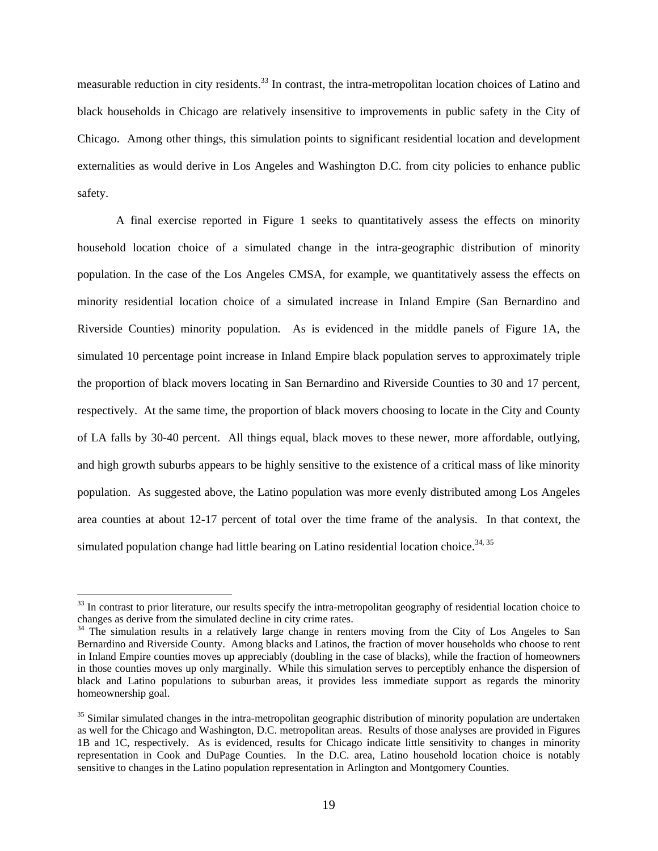measurable reduction in city residents.33 In contrast, the intra-metropolitan location choices of Latino and black households in Chicago are relatively insensitive to improvements in public safety in the City of Chicago. Among other things, this simulation points to significant residential location and development externalities as would derive in Los Angeles and Washington D.C. from city policies to enhance public safety.

A final exercise reported in Figure 1 seeks to quantitatively assess the effects on minority household location choice of a simulated change in the intra-geographic distribution of minority population. In the case of the Los Angeles CMSA, for example, we quantitatively assess the effects on minority residential location choice of a simulated increase in Inland Empire (San Bernardino and Riverside Counties) minority population. As is evidenced in the middle panels of Figure 1A, the simulated 10 percentage point increase in Inland Empire black population serves to approximately triple the proportion of black movers locating in San Bernardino and Riverside Counties to 30 and 17 percent, respectively. At the same time, the proportion of black movers choosing to locate in the City and County of LA falls by 30-40 percent. All things equal, black moves to these newer, more affordable, outlying, and high growth suburbs appears to be highly sensitive to the existence of a critical mass of like minority population. As suggested above, the Latino population was more evenly distributed among Los Angeles area counties at about 12-17 percent of total over the time frame of the analysis. In that context, the simulated population change had little bearing on Latino residential location choice.<sup>34, 35</sup>

<sup>&</sup>lt;sup>33</sup> In contrast to prior literature, our results specify the intra-metropolitan geography of residential location choice to changes as derive from the simulated decline in city crime rates.

<sup>&</sup>lt;sup>34</sup> The simulation results in a relatively large change in renters moving from the City of Los Angeles to San Bernardino and Riverside County. Among blacks and Latinos, the fraction of mover households who choose to rent in Inland Empire counties moves up appreciably (doubling in the case of blacks), while the fraction of homeowners in those counties moves up only marginally. While this simulation serves to perceptibly enhance the dispersion of black and Latino populations to suburban areas, it provides less immediate support as regards the minority homeownership goal.

<sup>&</sup>lt;sup>35</sup> Similar simulated changes in the intra-metropolitan geographic distribution of minority population are undertaken as well for the Chicago and Washington, D.C. metropolitan areas. Results of those analyses are provided in Figures 1B and 1C, respectively. As is evidenced, results for Chicago indicate little sensitivity to changes in minority representation in Cook and DuPage Counties. In the D.C. area, Latino household location choice is notably sensitive to changes in the Latino population representation in Arlington and Montgomery Counties.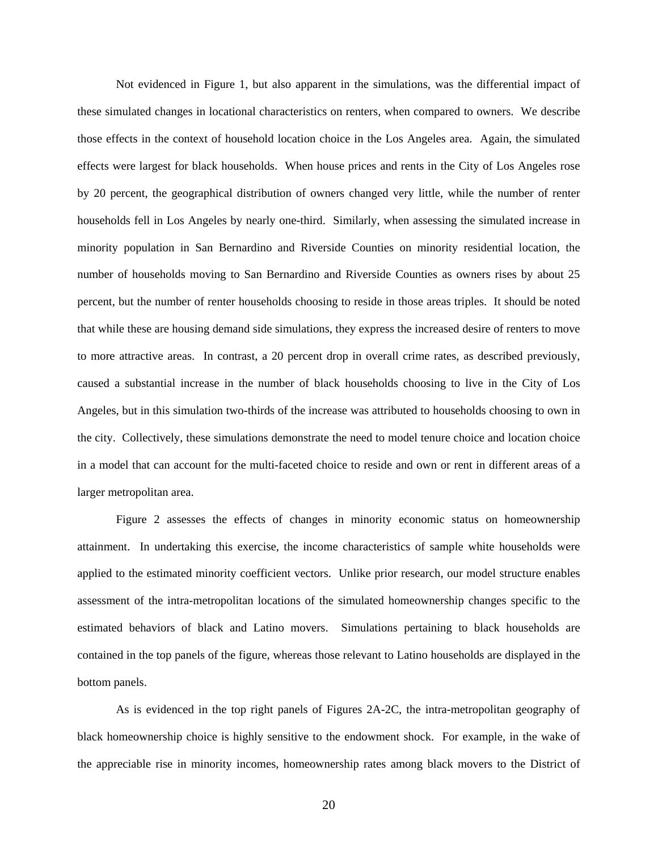Not evidenced in Figure 1, but also apparent in the simulations, was the differential impact of these simulated changes in locational characteristics on renters, when compared to owners. We describe those effects in the context of household location choice in the Los Angeles area. Again, the simulated effects were largest for black households. When house prices and rents in the City of Los Angeles rose by 20 percent, the geographical distribution of owners changed very little, while the number of renter households fell in Los Angeles by nearly one-third. Similarly, when assessing the simulated increase in minority population in San Bernardino and Riverside Counties on minority residential location, the number of households moving to San Bernardino and Riverside Counties as owners rises by about 25 percent, but the number of renter households choosing to reside in those areas triples. It should be noted that while these are housing demand side simulations, they express the increased desire of renters to move to more attractive areas. In contrast, a 20 percent drop in overall crime rates, as described previously, caused a substantial increase in the number of black households choosing to live in the City of Los Angeles, but in this simulation two-thirds of the increase was attributed to households choosing to own in the city. Collectively, these simulations demonstrate the need to model tenure choice and location choice in a model that can account for the multi-faceted choice to reside and own or rent in different areas of a larger metropolitan area.

Figure 2 assesses the effects of changes in minority economic status on homeownership attainment. In undertaking this exercise, the income characteristics of sample white households were applied to the estimated minority coefficient vectors. Unlike prior research, our model structure enables assessment of the intra-metropolitan locations of the simulated homeownership changes specific to the estimated behaviors of black and Latino movers. Simulations pertaining to black households are contained in the top panels of the figure, whereas those relevant to Latino households are displayed in the bottom panels.

As is evidenced in the top right panels of Figures 2A-2C, the intra-metropolitan geography of black homeownership choice is highly sensitive to the endowment shock. For example, in the wake of the appreciable rise in minority incomes, homeownership rates among black movers to the District of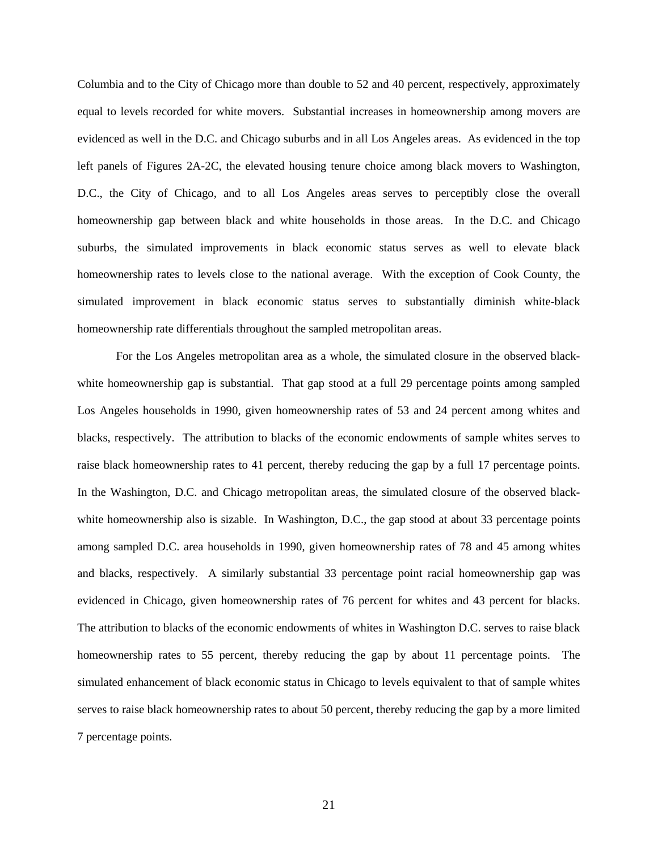Columbia and to the City of Chicago more than double to 52 and 40 percent, respectively, approximately equal to levels recorded for white movers. Substantial increases in homeownership among movers are evidenced as well in the D.C. and Chicago suburbs and in all Los Angeles areas. As evidenced in the top left panels of Figures 2A-2C, the elevated housing tenure choice among black movers to Washington, D.C., the City of Chicago, and to all Los Angeles areas serves to perceptibly close the overall homeownership gap between black and white households in those areas. In the D.C. and Chicago suburbs, the simulated improvements in black economic status serves as well to elevate black homeownership rates to levels close to the national average. With the exception of Cook County, the simulated improvement in black economic status serves to substantially diminish white-black homeownership rate differentials throughout the sampled metropolitan areas.

For the Los Angeles metropolitan area as a whole, the simulated closure in the observed blackwhite homeownership gap is substantial. That gap stood at a full 29 percentage points among sampled Los Angeles households in 1990, given homeownership rates of 53 and 24 percent among whites and blacks, respectively. The attribution to blacks of the economic endowments of sample whites serves to raise black homeownership rates to 41 percent, thereby reducing the gap by a full 17 percentage points. In the Washington, D.C. and Chicago metropolitan areas, the simulated closure of the observed blackwhite homeownership also is sizable. In Washington, D.C., the gap stood at about 33 percentage points among sampled D.C. area households in 1990, given homeownership rates of 78 and 45 among whites and blacks, respectively. A similarly substantial 33 percentage point racial homeownership gap was evidenced in Chicago, given homeownership rates of 76 percent for whites and 43 percent for blacks. The attribution to blacks of the economic endowments of whites in Washington D.C. serves to raise black homeownership rates to 55 percent, thereby reducing the gap by about 11 percentage points. The simulated enhancement of black economic status in Chicago to levels equivalent to that of sample whites serves to raise black homeownership rates to about 50 percent, thereby reducing the gap by a more limited 7 percentage points.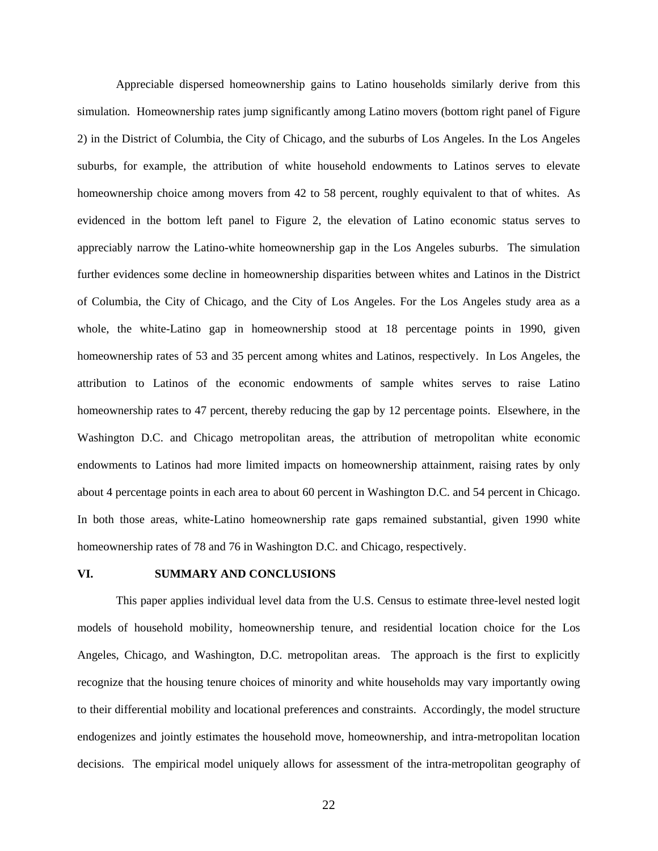Appreciable dispersed homeownership gains to Latino households similarly derive from this simulation. Homeownership rates jump significantly among Latino movers (bottom right panel of Figure 2) in the District of Columbia, the City of Chicago, and the suburbs of Los Angeles. In the Los Angeles suburbs, for example, the attribution of white household endowments to Latinos serves to elevate homeownership choice among movers from 42 to 58 percent, roughly equivalent to that of whites. As evidenced in the bottom left panel to Figure 2, the elevation of Latino economic status serves to appreciably narrow the Latino-white homeownership gap in the Los Angeles suburbs. The simulation further evidences some decline in homeownership disparities between whites and Latinos in the District of Columbia, the City of Chicago, and the City of Los Angeles. For the Los Angeles study area as a whole, the white-Latino gap in homeownership stood at 18 percentage points in 1990, given homeownership rates of 53 and 35 percent among whites and Latinos, respectively. In Los Angeles, the attribution to Latinos of the economic endowments of sample whites serves to raise Latino homeownership rates to 47 percent, thereby reducing the gap by 12 percentage points. Elsewhere, in the Washington D.C. and Chicago metropolitan areas, the attribution of metropolitan white economic endowments to Latinos had more limited impacts on homeownership attainment, raising rates by only about 4 percentage points in each area to about 60 percent in Washington D.C. and 54 percent in Chicago. In both those areas, white-Latino homeownership rate gaps remained substantial, given 1990 white homeownership rates of 78 and 76 in Washington D.C. and Chicago, respectively.

#### **VI. SUMMARY AND CONCLUSIONS**

This paper applies individual level data from the U.S. Census to estimate three-level nested logit models of household mobility, homeownership tenure, and residential location choice for the Los Angeles, Chicago, and Washington, D.C. metropolitan areas. The approach is the first to explicitly recognize that the housing tenure choices of minority and white households may vary importantly owing to their differential mobility and locational preferences and constraints. Accordingly, the model structure endogenizes and jointly estimates the household move, homeownership, and intra-metropolitan location decisions. The empirical model uniquely allows for assessment of the intra-metropolitan geography of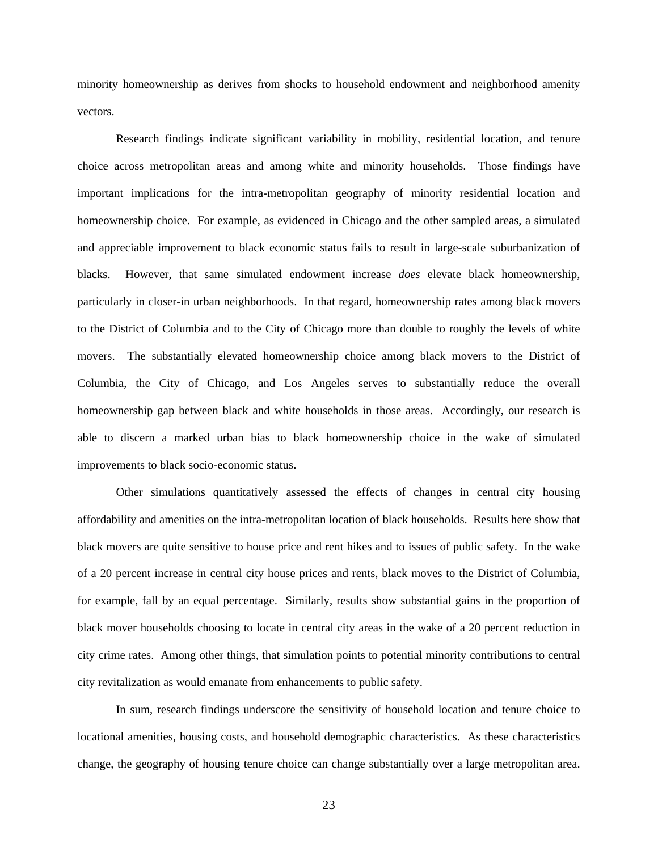minority homeownership as derives from shocks to household endowment and neighborhood amenity vectors.

Research findings indicate significant variability in mobility, residential location, and tenure choice across metropolitan areas and among white and minority households. Those findings have important implications for the intra-metropolitan geography of minority residential location and homeownership choice. For example, as evidenced in Chicago and the other sampled areas, a simulated and appreciable improvement to black economic status fails to result in large-scale suburbanization of blacks. However, that same simulated endowment increase *does* elevate black homeownership, particularly in closer-in urban neighborhoods. In that regard, homeownership rates among black movers to the District of Columbia and to the City of Chicago more than double to roughly the levels of white movers. The substantially elevated homeownership choice among black movers to the District of Columbia, the City of Chicago, and Los Angeles serves to substantially reduce the overall homeownership gap between black and white households in those areas. Accordingly, our research is able to discern a marked urban bias to black homeownership choice in the wake of simulated improvements to black socio-economic status.

Other simulations quantitatively assessed the effects of changes in central city housing affordability and amenities on the intra-metropolitan location of black households. Results here show that black movers are quite sensitive to house price and rent hikes and to issues of public safety. In the wake of a 20 percent increase in central city house prices and rents, black moves to the District of Columbia, for example, fall by an equal percentage. Similarly, results show substantial gains in the proportion of black mover households choosing to locate in central city areas in the wake of a 20 percent reduction in city crime rates. Among other things, that simulation points to potential minority contributions to central city revitalization as would emanate from enhancements to public safety.

In sum, research findings underscore the sensitivity of household location and tenure choice to locational amenities, housing costs, and household demographic characteristics. As these characteristics change, the geography of housing tenure choice can change substantially over a large metropolitan area.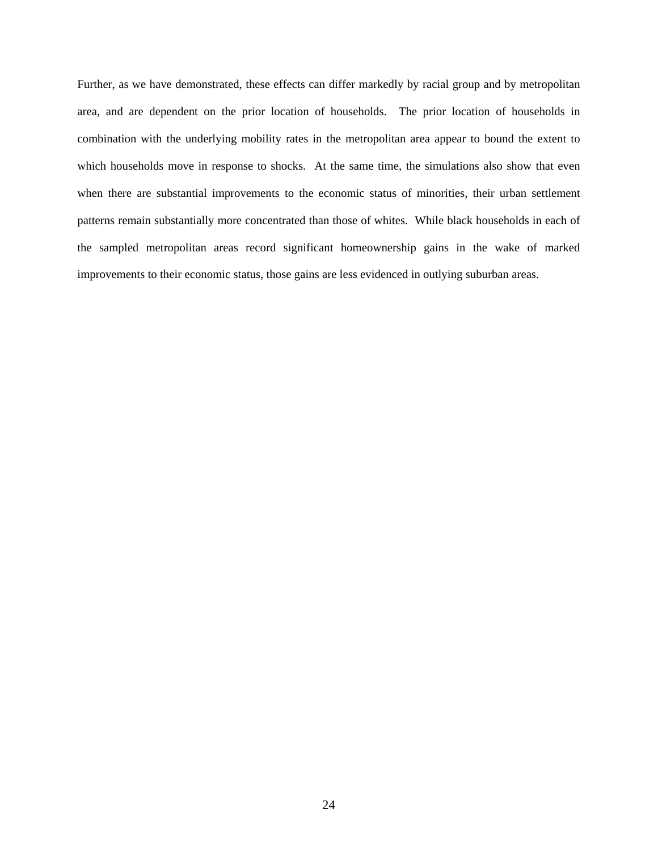Further, as we have demonstrated, these effects can differ markedly by racial group and by metropolitan area, and are dependent on the prior location of households. The prior location of households in combination with the underlying mobility rates in the metropolitan area appear to bound the extent to which households move in response to shocks. At the same time, the simulations also show that even when there are substantial improvements to the economic status of minorities, their urban settlement patterns remain substantially more concentrated than those of whites. While black households in each of the sampled metropolitan areas record significant homeownership gains in the wake of marked improvements to their economic status, those gains are less evidenced in outlying suburban areas.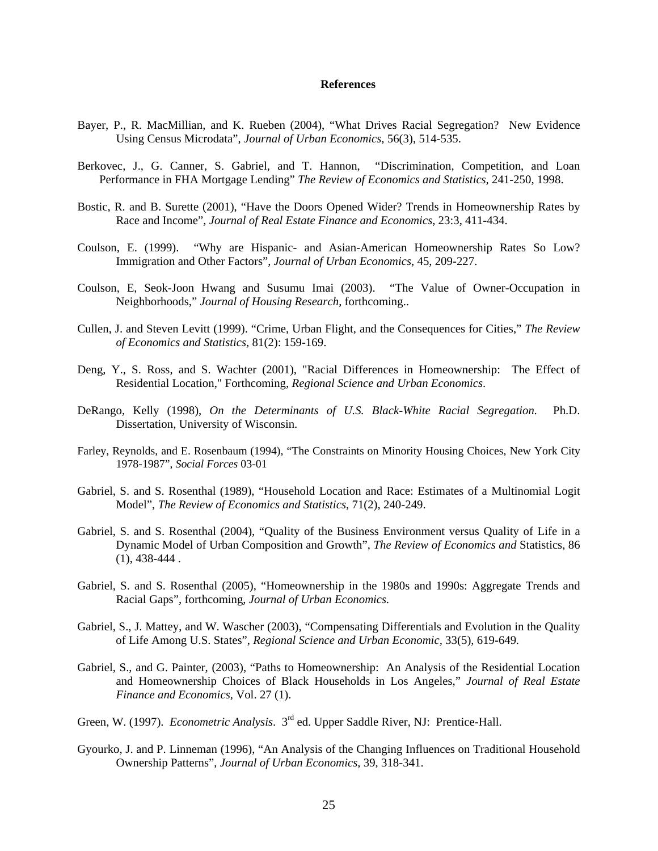#### **References**

- Bayer, P., R. MacMillian, and K. Rueben (2004), "What Drives Racial Segregation? New Evidence Using Census Microdata", *Journal of Urban Economics*, 56(3), 514-535.
- Berkovec, J., G. Canner, S. Gabriel, and T. Hannon, "Discrimination, Competition, and Loan Performance in FHA Mortgage Lending" *The Review of Economics and Statistics*, 241-250, 1998.
- Bostic, R. and B. Surette (2001), "Have the Doors Opened Wider? Trends in Homeownership Rates by Race and Income", *Journal of Real Estate Finance and Economics*, 23:3, 411-434.
- Coulson, E. (1999). "Why are Hispanic- and Asian-American Homeownership Rates So Low? Immigration and Other Factors", *Journal of Urban Economics*, 45, 209-227.
- Coulson, E, Seok-Joon Hwang and Susumu Imai (2003). "The Value of Owner-Occupation in Neighborhoods," *Journal of Housing Research*, forthcoming..
- Cullen, J. and Steven Levitt (1999). "Crime, Urban Flight, and the Consequences for Cities," *The Review of Economics and Statistics,* 81(2): 159-169.
- Deng, Y., S. Ross, and S. Wachter (2001), "Racial Differences in Homeownership: The Effect of Residential Location," Forthcoming, *Regional Science and Urban Economics*.
- DeRango, Kelly (1998), *On the Determinants of U.S. Black-White Racial Segregation.* Ph.D. Dissertation, University of Wisconsin.
- Farley, Reynolds, and E. Rosenbaum (1994), "The Constraints on Minority Housing Choices, New York City 1978-1987", *Social Forces* 03-01
- Gabriel, S. and S. Rosenthal (1989), "Household Location and Race: Estimates of a Multinomial Logit Model", *The Review of Economics and Statistics*, 71(2), 240-249.
- Gabriel, S. and S. Rosenthal (2004), "Quality of the Business Environment versus Quality of Life in a Dynamic Model of Urban Composition and Growth", *The Review of Economics and* Statistics, 86  $(1), 438-444.$
- Gabriel, S. and S. Rosenthal (2005), "Homeownership in the 1980s and 1990s: Aggregate Trends and Racial Gaps", forthcoming, *Journal of Urban Economics.*
- Gabriel, S., J. Mattey, and W. Wascher (2003), "Compensating Differentials and Evolution in the Quality of Life Among U.S. States", *Regional Science and Urban Economic,* 33(5), 619-649*.*
- Gabriel, S., and G. Painter, (2003), "Paths to Homeownership: An Analysis of the Residential Location and Homeownership Choices of Black Households in Los Angeles," *Journal of Real Estate Finance and Economics*, Vol. 27 (1).
- Green, W. (1997). *Econometric Analysis*. 3rd ed. Upper Saddle River, NJ: Prentice-Hall.
- Gyourko, J. and P. Linneman (1996), "An Analysis of the Changing Influences on Traditional Household Ownership Patterns", *Journal of Urban Economics*, 39, 318-341.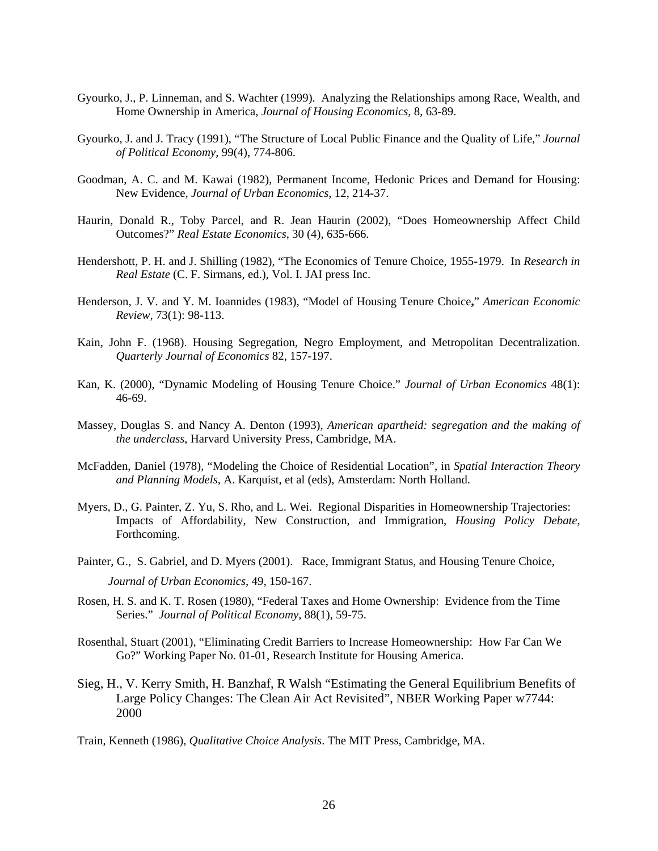- Gyourko, J., P. Linneman, and S. Wachter (1999). Analyzing the Relationships among Race, Wealth, and Home Ownership in America, *Journal of Housing Economics*, 8, 63-89.
- Gyourko, J. and J. Tracy (1991), "The Structure of Local Public Finance and the Quality of Life," *Journal of Political Economy,* 99(4), 774-806.
- Goodman, A. C. and M. Kawai (1982), Permanent Income, Hedonic Prices and Demand for Housing: New Evidence, *Journal of Urban Economics*, 12, 214-37.
- Haurin, Donald R., Toby Parcel, and R. Jean Haurin (2002), "Does Homeownership Affect Child Outcomes?" *Real Estate Economics*, 30 (4), 635-666.
- Hendershott, P. H. and J. Shilling (1982), "The Economics of Tenure Choice, 1955-1979. In *Research in Real Estate* (C. F. Sirmans, ed.), Vol. I. JAI press Inc.
- Henderson, J. V. and Y. M. Ioannides (1983), "Model of Housing Tenure Choice**,**" *American Economic Review,* 73(1): 98-113.
- Kain, John F. (1968). Housing Segregation, Negro Employment, and Metropolitan Decentralization. *Quarterly Journal of Economics* 82, 157-197.
- Kan, K. (2000), "Dynamic Modeling of Housing Tenure Choice." *Journal of Urban Economics* 48(1): 46-69.
- Massey, Douglas S. and Nancy A. Denton (1993), *American apartheid: segregation and the making of the underclass*, Harvard University Press, Cambridge, MA.
- McFadden, Daniel (1978), "Modeling the Choice of Residential Location", in *Spatial Interaction Theory and Planning Models*, A. Karquist, et al (eds), Amsterdam: North Holland.
- Myers, D., G. Painter, Z. Yu, S. Rho, and L. Wei. Regional Disparities in Homeownership Trajectories: Impacts of Affordability, New Construction, and Immigration, *Housing Policy Debate*, Forthcoming.
- Painter, G., S. Gabriel, and D. Myers (2001). Race, Immigrant Status, and Housing Tenure Choice, *Journal of Urban Economics*, 49, 150-167.
- Rosen, H. S. and K. T. Rosen (1980), "Federal Taxes and Home Ownership: Evidence from the Time Series." *Journal of Political Economy*, 88(1), 59-75.
- Rosenthal, Stuart (2001), "Eliminating Credit Barriers to Increase Homeownership: How Far Can We Go?" Working Paper No. 01-01, Research Institute for Housing America.
- Sieg, H., V. Kerry Smith, H. Banzhaf, R Walsh "Estimating the General Equilibrium Benefits of Large Policy Changes: The Clean Air Act Revisited", NBER Working Paper w7744: 2000
- Train, Kenneth (1986), *Qualitative Choice Analysis*. The MIT Press, Cambridge, MA.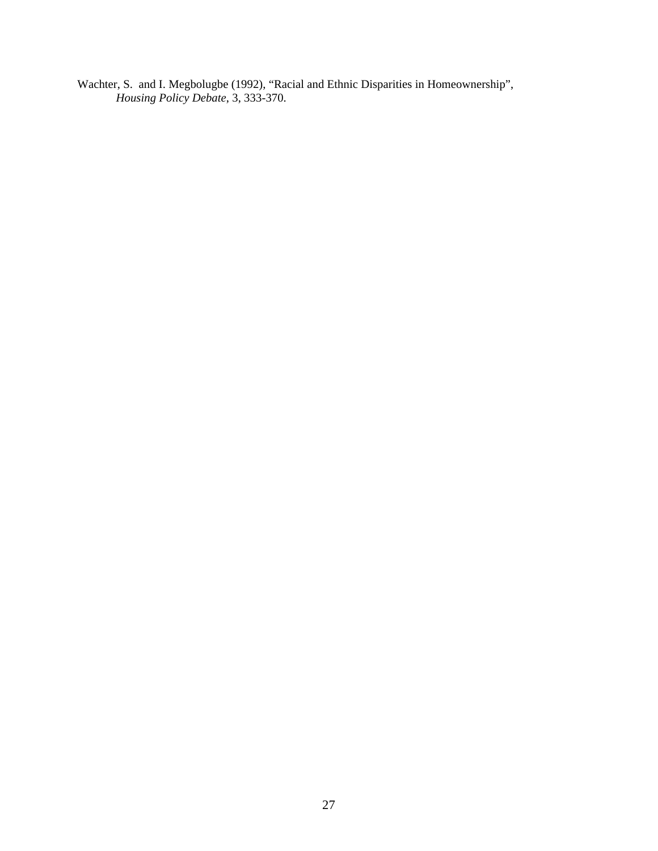Wachter, S. and I. Megbolugbe (1992), "Racial and Ethnic Disparities in Homeownership", *Housing Policy Debate*, 3, 333-370.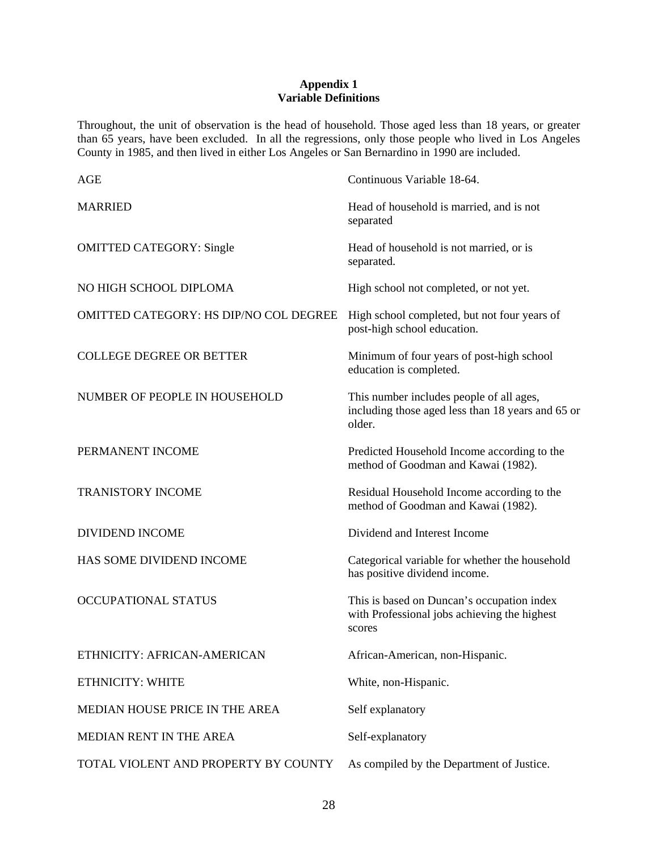#### **Appendix 1 Variable Definitions**

Throughout, the unit of observation is the head of household. Those aged less than 18 years, or greater than 65 years, have been excluded. In all the regressions, only those people who lived in Los Angeles County in 1985, and then lived in either Los Angeles or San Bernardino in 1990 are included.

| <b>AGE</b>                             | Continuous Variable 18-64.                                                                              |
|----------------------------------------|---------------------------------------------------------------------------------------------------------|
| <b>MARRIED</b>                         | Head of household is married, and is not<br>separated                                                   |
| <b>OMITTED CATEGORY: Single</b>        | Head of household is not married, or is<br>separated.                                                   |
| NO HIGH SCHOOL DIPLOMA                 | High school not completed, or not yet.                                                                  |
| OMITTED CATEGORY: HS DIP/NO COL DEGREE | High school completed, but not four years of<br>post-high school education.                             |
| <b>COLLEGE DEGREE OR BETTER</b>        | Minimum of four years of post-high school<br>education is completed.                                    |
| NUMBER OF PEOPLE IN HOUSEHOLD          | This number includes people of all ages,<br>including those aged less than 18 years and 65 or<br>older. |
| PERMANENT INCOME                       | Predicted Household Income according to the<br>method of Goodman and Kawai (1982).                      |
| <b>TRANISTORY INCOME</b>               | Residual Household Income according to the<br>method of Goodman and Kawai (1982).                       |
| <b>DIVIDEND INCOME</b>                 | Dividend and Interest Income                                                                            |
| HAS SOME DIVIDEND INCOME               | Categorical variable for whether the household<br>has positive dividend income.                         |
| OCCUPATIONAL STATUS                    | This is based on Duncan's occupation index<br>with Professional jobs achieving the highest<br>scores    |
| ETHNICITY: AFRICAN-AMERICAN            | African-American, non-Hispanic.                                                                         |
| ETHNICITY: WHITE                       | White, non-Hispanic.                                                                                    |
| MEDIAN HOUSE PRICE IN THE AREA         | Self explanatory                                                                                        |
| MEDIAN RENT IN THE AREA                | Self-explanatory                                                                                        |
| TOTAL VIOLENT AND PROPERTY BY COUNTY   | As compiled by the Department of Justice.                                                               |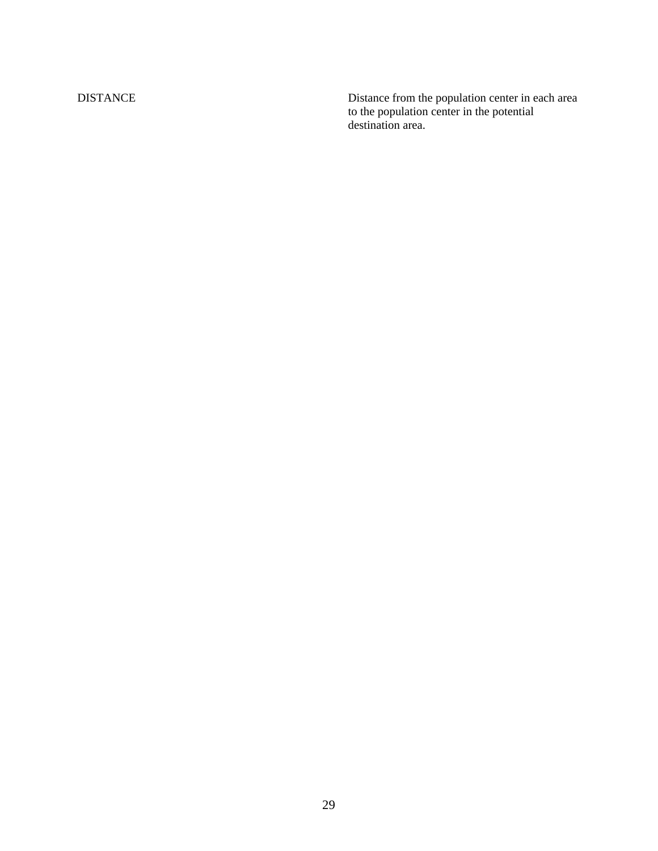DISTANCE Distance from the population center in each area to the population center in the potential destination area.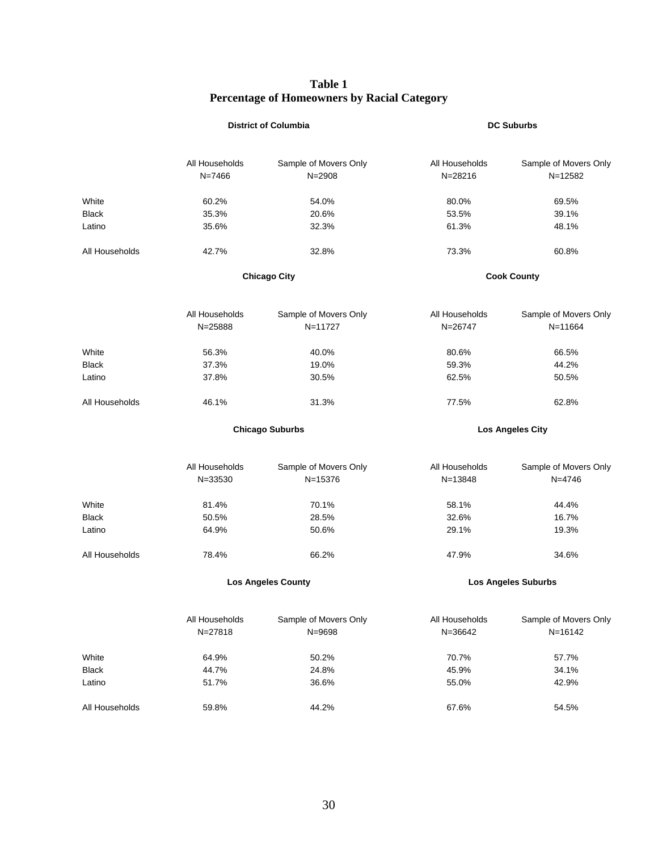#### **Table 1 Percentage of Homeowners by Racial Category**

|                |                | <b>District of Columbia</b> |                            | <b>DC Suburbs</b>     |  |
|----------------|----------------|-----------------------------|----------------------------|-----------------------|--|
|                |                |                             |                            |                       |  |
|                | All Households | Sample of Movers Only       | All Households             | Sample of Movers Only |  |
|                | $N = 7466$     | $N = 2908$                  | N=28216                    | $N = 12582$           |  |
| White          | 60.2%          | 54.0%                       | 80.0%                      | 69.5%                 |  |
| <b>Black</b>   | 35.3%          | 20.6%                       | 53.5%                      | 39.1%                 |  |
| Latino         | 35.6%          | 32.3%                       | 61.3%                      | 48.1%                 |  |
| All Households | 42.7%          | 32.8%                       | 73.3%                      | 60.8%                 |  |
|                |                | <b>Chicago City</b>         | <b>Cook County</b>         |                       |  |
|                | All Households | Sample of Movers Only       | All Households             | Sample of Movers Only |  |
|                | N=25888        | N=11727                     | N=26747                    | $N = 11664$           |  |
| White          | 56.3%          | 40.0%                       | 80.6%                      | 66.5%                 |  |
| <b>Black</b>   | 37.3%          | 19.0%                       | 59.3%                      | 44.2%                 |  |
| Latino         | 37.8%          | 30.5%                       | 62.5%                      | 50.5%                 |  |
| All Households | 46.1%          | 31.3%                       | 77.5%                      | 62.8%                 |  |
|                |                | <b>Chicago Suburbs</b>      | <b>Los Angeles City</b>    |                       |  |
|                | All Households | Sample of Movers Only       | All Households             | Sample of Movers Only |  |
|                | N=33530        | N=15376                     | $N = 13848$                | $N = 4746$            |  |
| White          | 81.4%          | 70.1%                       | 58.1%                      | 44.4%                 |  |
| Black          | 50.5%          | 28.5%                       | 32.6%                      | 16.7%                 |  |
| Latino         | 64.9%          | 50.6%                       | 29.1%                      | 19.3%                 |  |
| All Households | 78.4%          | 66.2%                       | 47.9%                      | 34.6%                 |  |
|                |                | <b>Los Angeles County</b>   | <b>Los Angeles Suburbs</b> |                       |  |
|                | All Households | Sample of Movers Only       | All Households             | Sample of Movers Only |  |
|                | $N = 27818$    | N=9698                      | N=36642                    | $N = 16142$           |  |
| White          | 64.9%          | 50.2%                       | 70.7%                      | 57.7%                 |  |
| <b>Black</b>   | 44.7%          | 24.8%                       | 45.9%                      | 34.1%                 |  |
| Latino         | 51.7%          | 36.6%                       | 55.0%                      | 42.9%                 |  |
| All Households | 59.8%<br>44.2% |                             | 67.6%                      | 54.5%                 |  |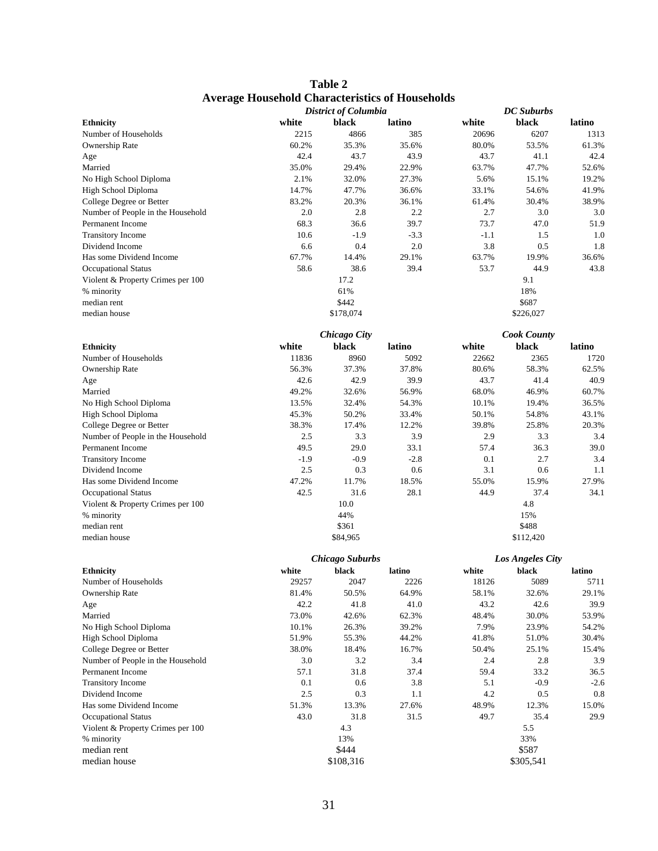| Table 2                                                |
|--------------------------------------------------------|
| <b>Average Household Characteristics of Households</b> |

|                                   |        | <b>District of Columbia</b> |        |        | <b>DC</b> Suburbs  |        |
|-----------------------------------|--------|-----------------------------|--------|--------|--------------------|--------|
| <b>Ethnicity</b>                  | white  | black                       | latino | white  | black              | latino |
| Number of Households              | 2215   | 4866                        | 385    | 20696  | 6207               | 1313   |
| Ownership Rate                    | 60.2%  | 35.3%                       | 35.6%  | 80.0%  | 53.5%              | 61.3%  |
| Age                               | 42.4   | 43.7                        | 43.9   | 43.7   | 41.1               | 42.4   |
| Married                           | 35.0%  | 29.4%                       | 22.9%  | 63.7%  | 47.7%              | 52.6%  |
| No High School Diploma            | 2.1%   | 32.0%                       | 27.3%  | 5.6%   | 15.1%              | 19.2%  |
| High School Diploma               | 14.7%  | 47.7%                       | 36.6%  | 33.1%  | 54.6%              | 41.9%  |
| College Degree or Better          | 83.2%  | 20.3%                       | 36.1%  | 61.4%  | 30.4%              | 38.9%  |
| Number of People in the Household | 2.0    | 2.8                         | 2.2    | 2.7    | 3.0                | 3.0    |
| Permanent Income                  | 68.3   | 36.6                        | 39.7   | 73.7   | 47.0               | 51.9   |
| <b>Transitory Income</b>          | 10.6   | $-1.9$                      | $-3.3$ | $-1.1$ | 1.5                | 1.0    |
| Dividend Income                   | 6.6    | 0.4                         | 2.0    | 3.8    | 0.5                | 1.8    |
| Has some Dividend Income          | 67.7%  | 14.4%                       | 29.1%  | 63.7%  | 19.9%              | 36.6%  |
| <b>Occupational Status</b>        | 58.6   | 38.6                        | 39.4   | 53.7   | 44.9               | 43.8   |
| Violent & Property Crimes per 100 |        | 17.2                        |        |        | 9.1                |        |
| % minority                        |        | 61%                         |        |        | 18%                |        |
|                                   |        | \$442                       |        |        | \$687              |        |
| median rent                       |        |                             |        |        |                    |        |
| median house                      |        | \$178,074                   |        |        | \$226,027          |        |
|                                   |        | <b>Chicago City</b>         |        |        | <b>Cook County</b> |        |
| <b>Ethnicity</b>                  | white  | black                       | latino | white  | black              | latino |
| Number of Households              | 11836  | 8960                        | 5092   | 22662  | 2365               | 1720   |
| Ownership Rate                    | 56.3%  | 37.3%                       | 37.8%  | 80.6%  | 58.3%              | 62.5%  |
|                                   | 42.6   | 42.9                        | 39.9   | 43.7   | 41.4               | 40.9   |
| Age                               | 49.2%  |                             |        | 68.0%  |                    |        |
| Married                           |        | 32.6%                       | 56.9%  |        | 46.9%              | 60.7%  |
| No High School Diploma            | 13.5%  | 32.4%                       | 54.3%  | 10.1%  | 19.4%              | 36.5%  |
| High School Diploma               | 45.3%  | 50.2%                       | 33.4%  | 50.1%  | 54.8%              | 43.1%  |
| College Degree or Better          | 38.3%  | 17.4%                       | 12.2%  | 39.8%  | 25.8%              | 20.3%  |
| Number of People in the Household | 2.5    | 3.3                         | 3.9    | 2.9    | 3.3                | 3.4    |
| Permanent Income                  | 49.5   | 29.0                        | 33.1   | 57.4   | 36.3               | 39.0   |
| <b>Transitory Income</b>          | $-1.9$ | $-0.9$                      | $-2.8$ | 0.1    | 2.7                | 3.4    |
| Dividend Income                   | 2.5    | 0.3                         | 0.6    | 3.1    | 0.6                | 1.1    |
| Has some Dividend Income          | 47.2%  | 11.7%                       | 18.5%  | 55.0%  | 15.9%              | 27.9%  |
| <b>Occupational Status</b>        | 42.5   | 31.6                        | 28.1   | 44.9   | 37.4               | 34.1   |
| Violent & Property Crimes per 100 |        | 10.0                        |        |        | 4.8                |        |
| % minority                        |        | 44%                         |        |        | 15%                |        |
| median rent                       |        | \$361                       |        |        | \$488              |        |
| median house                      |        | \$84,965                    |        |        | \$112,420          |        |
|                                   |        | <b>Chicago Suburbs</b>      |        |        | Los Angeles City   |        |
| <b>Ethnicity</b>                  | white  | black                       | latino | white  | black              | latino |
| Number of Households              | 29257  | 2047                        | 2226   | 18126  | 5089               | 5711   |
| Ownership Rate                    | 81.4%  | 50.5%                       | 64.9%  | 58.1%  | 32.6%              | 29.1%  |
| Age                               | 42.2   | 41.8                        | 41.0   | 43.2   | 42.6               | 39.9   |
| Married                           | 73.0%  | 42.6%                       | 62.3%  | 48.4%  | 30.0%              | 53.9%  |
| No High School Diploma            | 10.1%  | 26.3%                       | 39.2%  | 7.9%   | 23.9%              | 54.2%  |
| High School Diploma               | 51.9%  | 55.3%                       | 44.2%  | 41.8%  | 51.0%              | 30.4%  |
| College Degree or Better          | 38.0%  | 18.4%                       | 16.7%  | 50.4%  | 25.1%              | 15.4%  |
| Number of People in the Household | 3.0    | 3.2                         | 3.4    | 2.4    | 2.8                | 3.9    |
| Permanent Income                  | 57.1   | 31.8                        | 37.4   | 59.4   | 33.2               | 36.5   |
| <b>Transitory Income</b>          | 0.1    | 0.6                         | 3.8    | 5.1    | $-0.9$             | $-2.6$ |
| Dividend Income                   | 2.5    | 0.3                         | 1.1    | 4.2    | 0.5                | 0.8    |
|                                   |        |                             |        |        |                    |        |
| Has some Dividend Income          | 51.3%  | 13.3%                       | 27.6%  | 48.9%  | 12.3%              | 15.0%  |
| <b>Occupational Status</b>        | 43.0   | 31.8                        | 31.5   | 49.7   | 35.4               | 29.9   |
| Violent & Property Crimes per 100 |        | 4.3                         |        |        | 5.5                |        |
| % minority                        |        | 13%                         |        |        | 33%                |        |
| median rent                       |        | \$444                       |        |        | \$587              |        |
| median house                      |        | \$108,316                   |        |        | \$305,541          |        |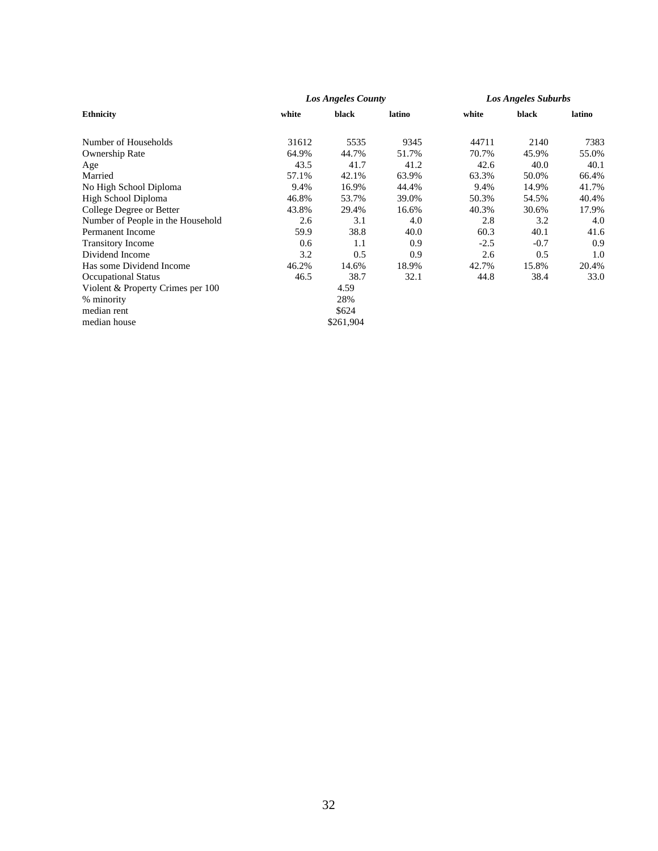|                                   |       | Los Angeles County |        | <b>Los Angeles Suburbs</b> |        |        |
|-----------------------------------|-------|--------------------|--------|----------------------------|--------|--------|
| <b>Ethnicity</b>                  | white | black              | latino | white                      | black  | latino |
| Number of Households              | 31612 | 5535               | 9345   | 44711                      | 2140   | 7383   |
| Ownership Rate                    | 64.9% | 44.7%              | 51.7%  | 70.7%                      | 45.9%  | 55.0%  |
| Age                               | 43.5  | 41.7               | 41.2   | 42.6                       | 40.0   | 40.1   |
| Married                           | 57.1% | 42.1%              | 63.9%  | 63.3%                      | 50.0%  | 66.4%  |
| No High School Diploma            | 9.4%  | 16.9%              | 44.4%  | 9.4%                       | 14.9%  | 41.7%  |
| High School Diploma               | 46.8% | 53.7%              | 39.0%  | 50.3%                      | 54.5%  | 40.4%  |
| College Degree or Better          | 43.8% | 29.4%              | 16.6%  | 40.3%                      | 30.6%  | 17.9%  |
| Number of People in the Household | 2.6   | 3.1                | 4.0    | 2.8                        | 3.2    | 4.0    |
| <b>Permanent Income</b>           | 59.9  | 38.8               | 40.0   | 60.3                       | 40.1   | 41.6   |
| <b>Transitory Income</b>          | 0.6   | 1.1                | 0.9    | $-2.5$                     | $-0.7$ | 0.9    |
| Dividend Income                   | 3.2   | 0.5                | 0.9    | 2.6                        | 0.5    | 1.0    |
| Has some Dividend Income          | 46.2% | 14.6%              | 18.9%  | 42.7%                      | 15.8%  | 20.4%  |
| <b>Occupational Status</b>        | 46.5  | 38.7               | 32.1   | 44.8                       | 38.4   | 33.0   |
| Violent & Property Crimes per 100 |       | 4.59               |        |                            |        |        |
| % minority                        |       | 28%                |        |                            |        |        |
| median rent                       |       | \$624              |        |                            |        |        |
| median house                      |       | \$261,904          |        |                            |        |        |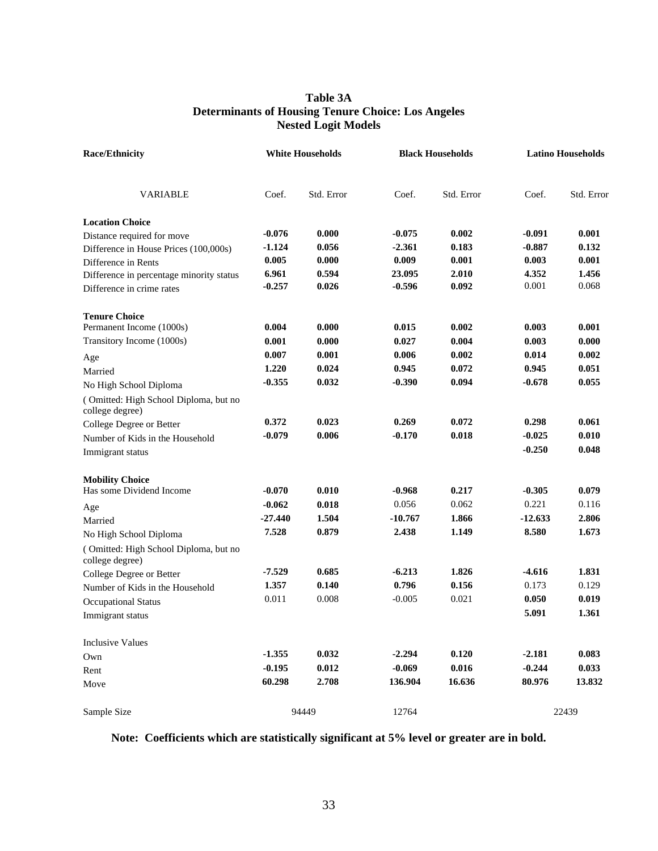## **Table 3A Determinants of Housing Tenure Choice: Los Angeles Nested Logit Models**

| <b>Race/Ethnicity</b>                                    | <b>White Households</b> |            |           | <b>Black Households</b> |           | <b>Latino Households</b> |  |
|----------------------------------------------------------|-------------------------|------------|-----------|-------------------------|-----------|--------------------------|--|
| <b>VARIABLE</b>                                          | Coef.                   | Std. Error | Coef.     | Std. Error              | Coef.     | Std. Error               |  |
| <b>Location Choice</b>                                   |                         |            |           |                         |           |                          |  |
| Distance required for move                               | $-0.076$                | 0.000      | $-0.075$  | 0.002                   | $-0.091$  | 0.001                    |  |
| Difference in House Prices (100,000s)                    | $-1.124$                | 0.056      | $-2.361$  | 0.183                   | $-0.887$  | 0.132                    |  |
| Difference in Rents                                      | 0.005                   | 0.000      | 0.009     | 0.001                   | 0.003     | 0.001                    |  |
| Difference in percentage minority status                 | 6.961                   | 0.594      | 23.095    | 2.010                   | 4.352     | 1.456                    |  |
| Difference in crime rates                                | $-0.257$                | 0.026      | $-0.596$  | 0.092                   | 0.001     | 0.068                    |  |
| <b>Tenure Choice</b>                                     |                         |            |           |                         |           |                          |  |
| Permanent Income (1000s)                                 | 0.004                   | 0.000      | 0.015     | 0.002                   | 0.003     | 0.001                    |  |
| Transitory Income (1000s)                                | 0.001                   | 0.000      | 0.027     | 0.004                   | 0.003     | 0.000                    |  |
| Age                                                      | 0.007                   | 0.001      | 0.006     | 0.002                   | 0.014     | 0.002                    |  |
| Married                                                  | 1.220                   | 0.024      | 0.945     | 0.072                   | 0.945     | 0.051                    |  |
| No High School Diploma                                   | $-0.355$                | 0.032      | $-0.390$  | 0.094                   | $-0.678$  | 0.055                    |  |
| (Omitted: High School Diploma, but no<br>college degree) |                         |            |           |                         |           |                          |  |
| College Degree or Better                                 | 0.372                   | 0.023      | 0.269     | 0.072                   | 0.298     | 0.061                    |  |
| Number of Kids in the Household                          | $-0.079$                | 0.006      | $-0.170$  | 0.018                   | $-0.025$  | 0.010                    |  |
| Immigrant status                                         |                         |            |           |                         | $-0.250$  | 0.048                    |  |
| <b>Mobility Choice</b>                                   |                         |            |           |                         |           |                          |  |
| Has some Dividend Income                                 | $-0.070$                | 0.010      | $-0.968$  | 0.217                   | $-0.305$  | 0.079                    |  |
| Age                                                      | $-0.062$                | 0.018      | 0.056     | 0.062                   | 0.221     | 0.116                    |  |
| Married                                                  | $-27.440$               | 1.504      | $-10.767$ | 1.866                   | $-12.633$ | 2.806                    |  |
| No High School Diploma                                   | 7.528                   | 0.879      | 2.438     | 1.149                   | 8.580     | 1.673                    |  |
| (Omitted: High School Diploma, but no<br>college degree) |                         |            |           |                         |           |                          |  |
| College Degree or Better                                 | $-7.529$                | 0.685      | $-6.213$  | 1.826                   | $-4.616$  | 1.831                    |  |
| Number of Kids in the Household                          | 1.357                   | 0.140      | 0.796     | 0.156                   | 0.173     | 0.129                    |  |
| <b>Occupational Status</b>                               | 0.011                   | 0.008      | $-0.005$  | 0.021                   | 0.050     | 0.019                    |  |
| Immigrant status                                         |                         |            |           |                         | 5.091     | 1.361                    |  |
| <b>Inclusive Values</b>                                  |                         |            |           |                         |           |                          |  |
| Own                                                      | $-1.355$                | 0.032      | $-2.294$  | 0.120                   | $-2.181$  | 0.083                    |  |
| Rent                                                     | $-0.195$                | 0.012      | $-0.069$  | 0.016                   | $-0.244$  | 0.033                    |  |
| Move                                                     | 60.298                  | 2.708      | 136.904   | 16.636                  | 80.976    | 13.832                   |  |
| Sample Size                                              |                         | 94449      | 12764     |                         |           | 22439                    |  |

**Note: Coefficients which are statistically significant at 5% level or greater are in bold.**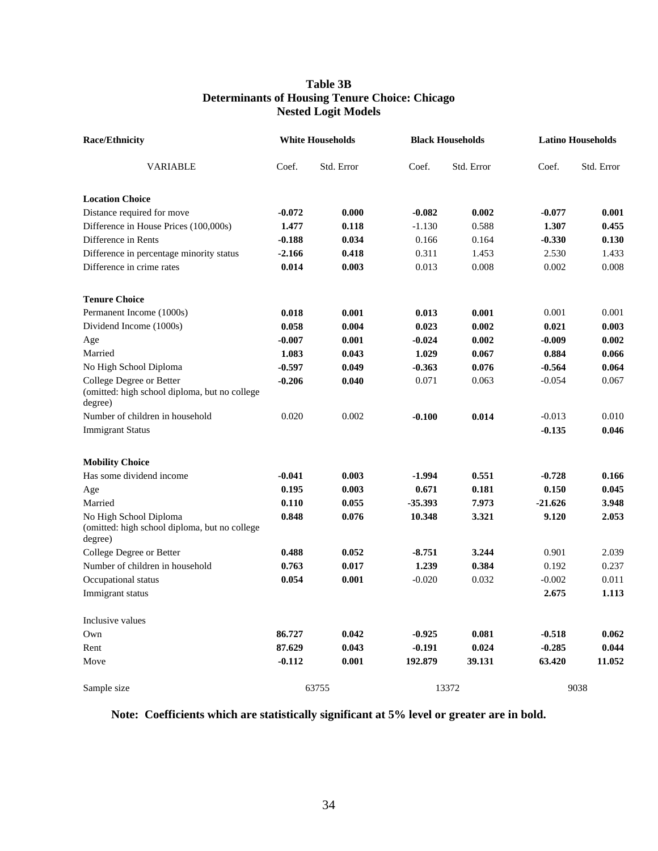### **Table 3B Determinants of Housing Tenure Choice: Chicago Nested Logit Models**

| <b>Race/Ethnicity</b>                                                                | <b>White Households</b> |            | <b>Black Households</b> |            | <b>Latino Households</b> |            |
|--------------------------------------------------------------------------------------|-------------------------|------------|-------------------------|------------|--------------------------|------------|
| <b>VARIABLE</b>                                                                      | Coef.                   | Std. Error | Coef.                   | Std. Error | Coef.                    | Std. Error |
| <b>Location Choice</b>                                                               |                         |            |                         |            |                          |            |
| Distance required for move                                                           | $-0.072$                | 0.000      | $-0.082$                | 0.002      | $-0.077$                 | 0.001      |
| Difference in House Prices (100,000s)                                                | 1.477                   | 0.118      | $-1.130$                | 0.588      | 1.307                    | 0.455      |
| Difference in Rents                                                                  | $-0.188$                | 0.034      | 0.166                   | 0.164      | $-0.330$                 | 0.130      |
| Difference in percentage minority status                                             | $-2.166$                | 0.418      | 0.311                   | 1.453      | 2.530                    | 1.433      |
| Difference in crime rates                                                            | 0.014                   | 0.003      | 0.013                   | 0.008      | 0.002                    | 0.008      |
| <b>Tenure Choice</b>                                                                 |                         |            |                         |            |                          |            |
| Permanent Income (1000s)                                                             | 0.018                   | 0.001      | 0.013                   | 0.001      | 0.001                    | 0.001      |
| Dividend Income (1000s)                                                              | 0.058                   | 0.004      | 0.023                   | 0.002      | 0.021                    | 0.003      |
| Age                                                                                  | $-0.007$                | 0.001      | $-0.024$                | 0.002      | $-0.009$                 | 0.002      |
| Married                                                                              | 1.083                   | 0.043      | 1.029                   | 0.067      | 0.884                    | 0.066      |
| No High School Diploma                                                               | $-0.597$                | 0.049      | $-0.363$                | 0.076      | $-0.564$                 | 0.064      |
| College Degree or Better<br>(omitted: high school diploma, but no college<br>degree) | $-0.206$                | 0.040      | 0.071                   | 0.063      | $-0.054$                 | 0.067      |
| Number of children in household                                                      | 0.020                   | 0.002      | $-0.100$                | 0.014      | $-0.013$                 | 0.010      |
| <b>Immigrant Status</b>                                                              |                         |            |                         |            | $-0.135$                 | 0.046      |
| <b>Mobility Choice</b>                                                               |                         |            |                         |            |                          |            |
| Has some dividend income                                                             | $-0.041$                | 0.003      | $-1.994$                | 0.551      | $-0.728$                 | 0.166      |
| Age                                                                                  | 0.195                   | 0.003      | 0.671                   | 0.181      | 0.150                    | 0.045      |
| Married                                                                              | 0.110                   | 0.055      | $-35.393$               | 7.973      | $-21.626$                | 3.948      |
| No High School Diploma<br>(omitted: high school diploma, but no college<br>degree)   | 0.848                   | 0.076      | 10.348                  | 3.321      | 9.120                    | 2.053      |
| College Degree or Better                                                             | 0.488                   | 0.052      | $-8.751$                | 3.244      | 0.901                    | 2.039      |
| Number of children in household                                                      | 0.763                   | 0.017      | 1.239                   | 0.384      | 0.192                    | 0.237      |
| Occupational status                                                                  | 0.054                   | 0.001      | $-0.020$                | 0.032      | $-0.002$                 | 0.011      |
| Immigrant status                                                                     |                         |            |                         |            | 2.675                    | 1.113      |
| Inclusive values                                                                     |                         |            |                         |            |                          |            |
| Own                                                                                  | 86.727                  | 0.042      | $-0.925$                | 0.081      | $-0.518$                 | 0.062      |
| Rent                                                                                 | 87.629                  | 0.043      | $-0.191$                | 0.024      | $-0.285$                 | 0.044      |
| Move                                                                                 | $-0.112$                | 0.001      | 192.879                 | 39.131     | 63.420                   | 11.052     |
| Sample size                                                                          |                         | 63755      |                         | 13372      |                          | 9038       |

## **Note: Coefficients which are statistically significant at 5% level or greater are in bold.**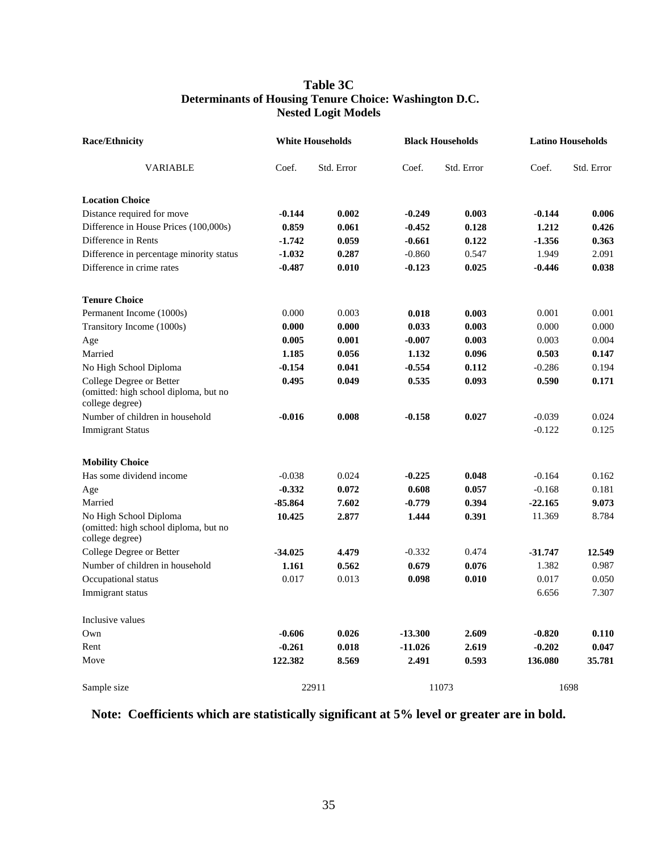## **Table 3C Determinants of Housing Tenure Choice: Washington D.C. Nested Logit Models**

| <b>Race/Ethnicity</b>                                                                | <b>White Households</b> |            | <b>Black Households</b> |            | <b>Latino Households</b> |            |
|--------------------------------------------------------------------------------------|-------------------------|------------|-------------------------|------------|--------------------------|------------|
| VARIABLE                                                                             | Coef.                   | Std. Error | Coef.                   | Std. Error | Coef.                    | Std. Error |
| <b>Location Choice</b>                                                               |                         |            |                         |            |                          |            |
| Distance required for move                                                           | $-0.144$                | 0.002      | $-0.249$                | 0.003      | $-0.144$                 | 0.006      |
| Difference in House Prices (100,000s)                                                | 0.859                   | 0.061      | $-0.452$                | 0.128      | 1.212                    | 0.426      |
| Difference in Rents                                                                  | $-1.742$                | 0.059      | $-0.661$                | 0.122      | $-1.356$                 | 0.363      |
| Difference in percentage minority status                                             | $-1.032$                | 0.287      | $-0.860$                | 0.547      | 1.949                    | 2.091      |
| Difference in crime rates                                                            | $-0.487$                | 0.010      | $-0.123$                | 0.025      | $-0.446$                 | 0.038      |
| <b>Tenure Choice</b>                                                                 |                         |            |                         |            |                          |            |
| Permanent Income (1000s)                                                             | 0.000                   | 0.003      | 0.018                   | 0.003      | 0.001                    | 0.001      |
| Transitory Income (1000s)                                                            | 0.000                   | 0.000      | 0.033                   | 0.003      | 0.000                    | 0.000      |
| Age                                                                                  | 0.005                   | 0.001      | $-0.007$                | 0.003      | 0.003                    | 0.004      |
| Married                                                                              | 1.185                   | 0.056      | 1.132                   | 0.096      | 0.503                    | 0.147      |
| No High School Diploma                                                               | $-0.154$                | 0.041      | $-0.554$                | 0.112      | $-0.286$                 | 0.194      |
| College Degree or Better<br>(omitted: high school diploma, but no<br>college degree) | 0.495                   | 0.049      | 0.535                   | 0.093      | 0.590                    | 0.171      |
| Number of children in household                                                      | $-0.016$                | 0.008      | $-0.158$                | 0.027      | $-0.039$                 | 0.024      |
| <b>Immigrant Status</b>                                                              |                         |            |                         |            | $-0.122$                 | 0.125      |
| <b>Mobility Choice</b>                                                               |                         |            |                         |            |                          |            |
| Has some dividend income                                                             | $-0.038$                | 0.024      | $-0.225$                | 0.048      | $-0.164$                 | 0.162      |
| Age                                                                                  | $-0.332$                | 0.072      | 0.608                   | 0.057      | $-0.168$                 | 0.181      |
| Married                                                                              | -85.864                 | 7.602      | $-0.779$                | 0.394      | $-22.165$                | 9.073      |
| No High School Diploma<br>(omitted: high school diploma, but no<br>college degree)   | 10.425                  | 2.877      | 1.444                   | 0.391      | 11.369                   | 8.784      |
| College Degree or Better                                                             | $-34.025$               | 4.479      | $-0.332$                | 0.474      | $-31,747$                | 12.549     |
| Number of children in household                                                      | 1.161                   | 0.562      | 0.679                   | 0.076      | 1.382                    | 0.987      |
| Occupational status                                                                  | 0.017                   | 0.013      | 0.098                   | 0.010      | 0.017                    | 0.050      |
| Immigrant status                                                                     |                         |            |                         |            | 6.656                    | 7.307      |
| Inclusive values                                                                     |                         |            |                         |            |                          |            |
| Own                                                                                  | $-0.606$                | 0.026      | $-13.300$               | 2.609      | $-0.820$                 | 0.110      |
| Rent                                                                                 | $-0.261$                | 0.018      | $-11.026$               | 2.619      | $-0.202$                 | 0.047      |
| Move                                                                                 | 122.382                 | 8.569      | 2.491                   | 0.593      | 136.080                  | 35.781     |
| Sample size                                                                          |                         | 22911      |                         | 11073      |                          | 1698       |

# **Note: Coefficients which are statistically significant at 5% level or greater are in bold.**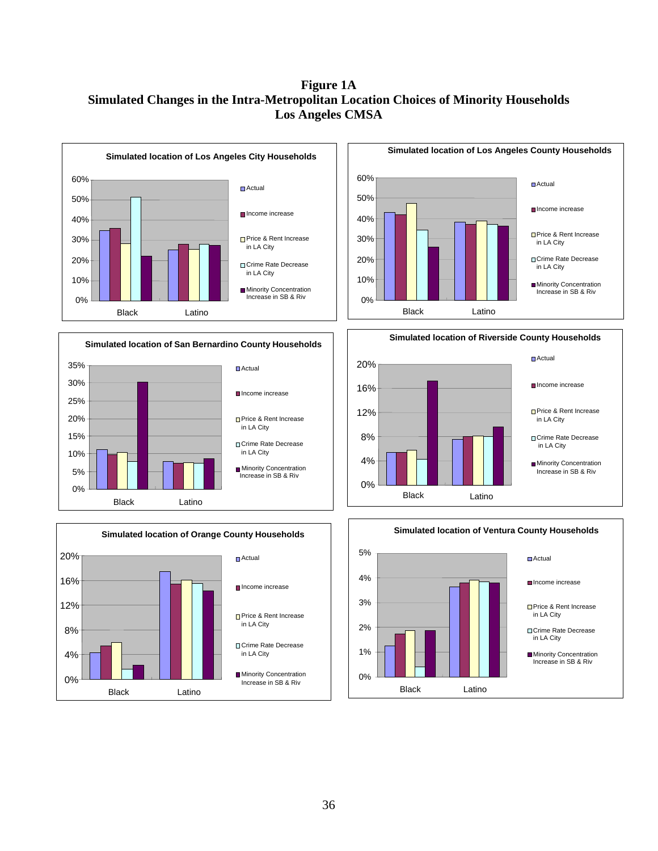# **Figure 1A Simulated Changes in the Intra-Metropolitan Location Choices of Minority Households Los Angeles CMSA**

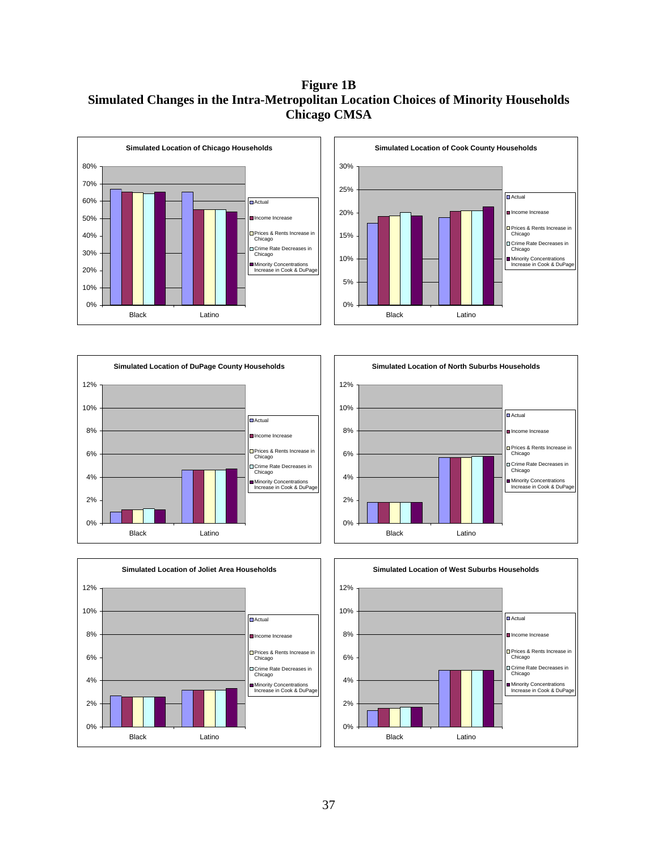# **Figure 1B Simulated Changes in the Intra-Metropolitan Location Choices of Minority Households Chicago CMSA**











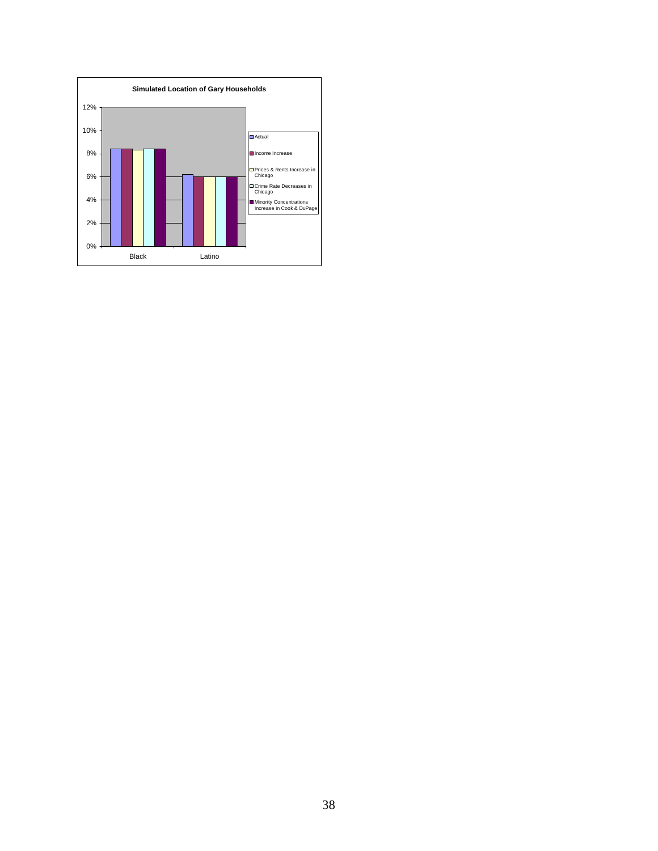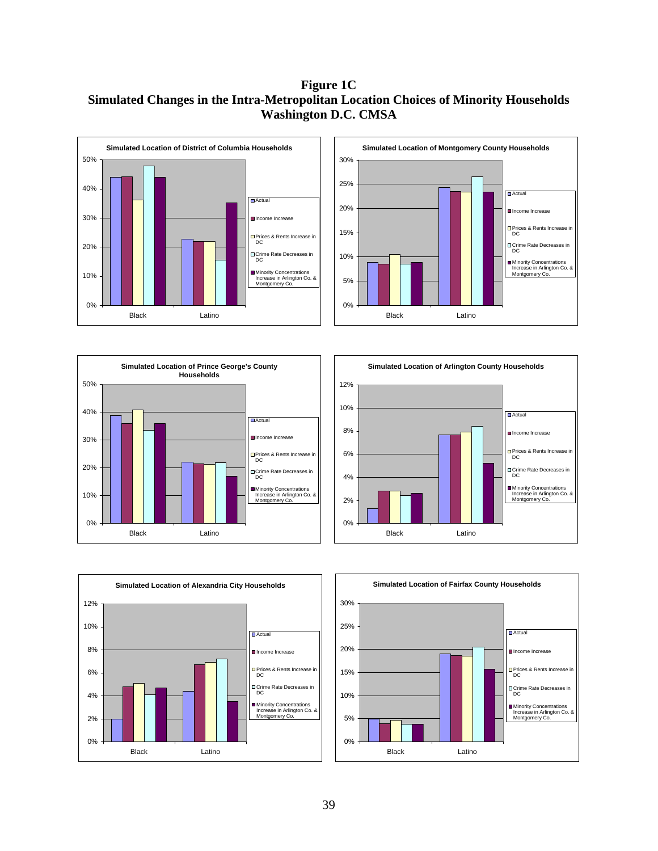## **Figure 1C Simulated Changes in the Intra-Metropolitan Location Choices of Minority Households Washington D.C. CMSA**











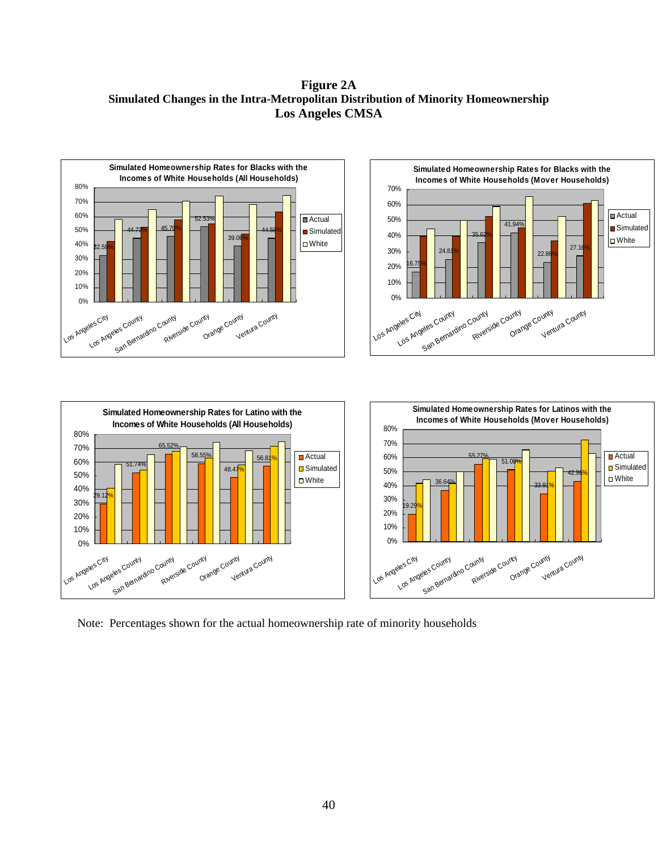**Figure 2A Simulated Changes in the Intra-Metropolitan Distribution of Minority Homeownership Los Angeles CMSA** 



Note: Percentages shown for the actual homeownership rate of minority households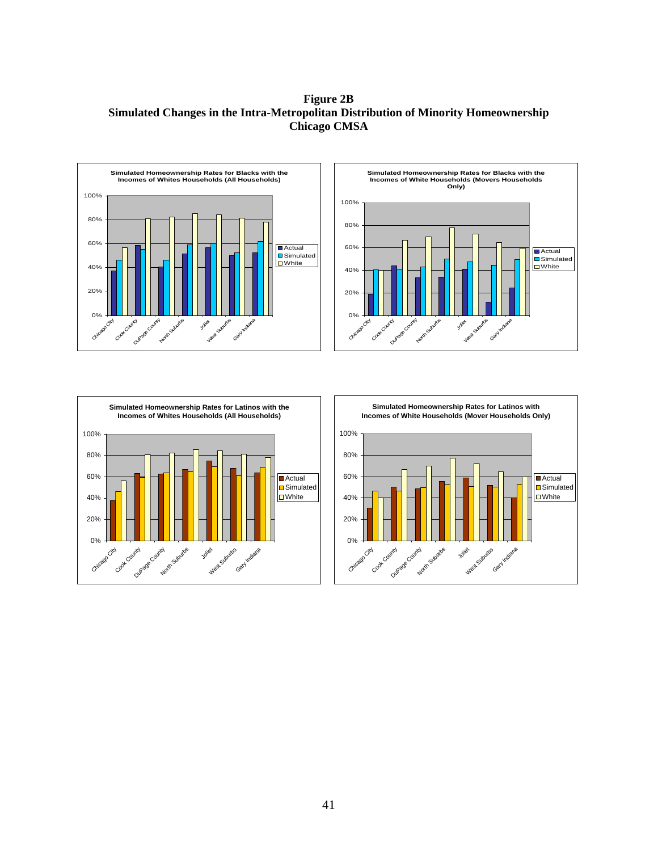**Figure 2B Simulated Changes in the Intra-Metropolitan Distribution of Minority Homeownership Chicago CMSA** 





![](_page_41_Figure_3.jpeg)